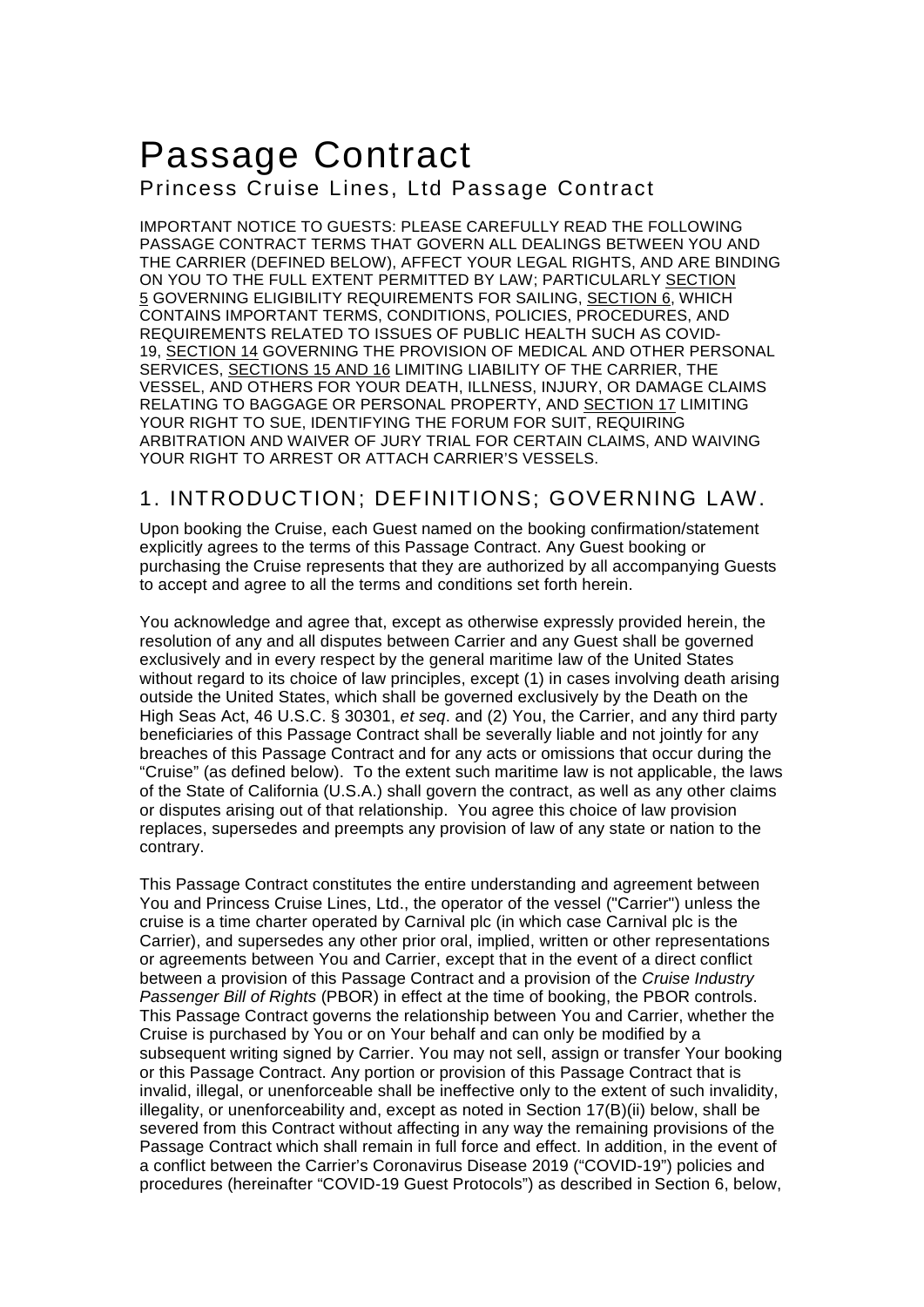# Passage Contract Princess Cruise Lines, Ltd Passage Contract

IMPORTANT NOTICE TO GUESTS: PLEASE CAREFULLY READ THE FOLLOWING PASSAGE CONTRACT TERMS THAT GOVERN ALL DEALINGS BETWEEN YOU AND THE CARRIER (DEFINED BELOW), AFFECT YOUR LEGAL RIGHTS, AND ARE BINDING ON YOU TO THE FULL EXTENT PERMITTED BY LAW; PARTICULARLY SECTION 5 GOVERNING ELIGIBILITY REQUIREMENTS FOR SAILING, SECTION 6, WHICH CONTAINS IMPORTANT TERMS, CONDITIONS, POLICIES, PROCEDURES, AND REQUIREMENTS RELATED TO ISSUES OF PUBLIC HEALTH SUCH AS COVID-19, SECTION 14 GOVERNING THE PROVISION OF MEDICAL AND OTHER PERSONAL SERVICES, SECTIONS 15 AND 16 LIMITING LIABILITY OF THE CARRIER, THE VESSEL, AND OTHERS FOR YOUR DEATH, ILLNESS, INJURY, OR DAMAGE CLAIMS RELATING TO BAGGAGE OR PERSONAL PROPERTY, AND SECTION 17 LIMITING YOUR RIGHT TO SUE, IDENTIFYING THE FORUM FOR SUIT, REQUIRING ARBITRATION AND WAIVER OF JURY TRIAL FOR CERTAIN CLAIMS, AND WAIVING YOUR RIGHT TO ARREST OR ATTACH CARRIER'S VESSELS.

## 1. INTRODUCTION; DEFINITIONS; GOVERNING LAW.

Upon booking the Cruise, each Guest named on the booking confirmation/statement explicitly agrees to the terms of this Passage Contract. Any Guest booking or purchasing the Cruise represents that they are authorized by all accompanying Guests to accept and agree to all the terms and conditions set forth herein.

You acknowledge and agree that, except as otherwise expressly provided herein, the resolution of any and all disputes between Carrier and any Guest shall be governed exclusively and in every respect by the general maritime law of the United States without regard to its choice of law principles, except (1) in cases involving death arising outside the United States, which shall be governed exclusively by the Death on the High Seas Act, 46 U.S.C. § 30301, *et seq*. and (2) You, the Carrier, and any third party beneficiaries of this Passage Contract shall be severally liable and not jointly for any breaches of this Passage Contract and for any acts or omissions that occur during the "Cruise" (as defined below). To the extent such maritime law is not applicable, the laws of the State of California (U.S.A.) shall govern the contract, as well as any other claims or disputes arising out of that relationship. You agree this choice of law provision replaces, supersedes and preempts any provision of law of any state or nation to the contrary.

This Passage Contract constitutes the entire understanding and agreement between You and Princess Cruise Lines, Ltd., the operator of the vessel ("Carrier") unless the cruise is a time charter operated by Carnival plc (in which case Carnival plc is the Carrier), and supersedes any other prior oral, implied, written or other representations or agreements between You and Carrier, except that in the event of a direct conflict between a provision of this Passage Contract and a provision of the *Cruise Industry Passenger Bill of Rights* (PBOR) in effect at the time of booking, the PBOR controls. This Passage Contract governs the relationship between You and Carrier, whether the Cruise is purchased by You or on Your behalf and can only be modified by a subsequent writing signed by Carrier. You may not sell, assign or transfer Your booking or this Passage Contract. Any portion or provision of this Passage Contract that is invalid, illegal, or unenforceable shall be ineffective only to the extent of such invalidity, illegality, or unenforceability and, except as noted in Section 17(B)(ii) below, shall be severed from this Contract without affecting in any way the remaining provisions of the Passage Contract which shall remain in full force and effect. In addition, in the event of a conflict between the Carrier's Coronavirus Disease 2019 ("COVID-19") policies and procedures (hereinafter "COVID-19 Guest Protocols") as described in Section 6, below,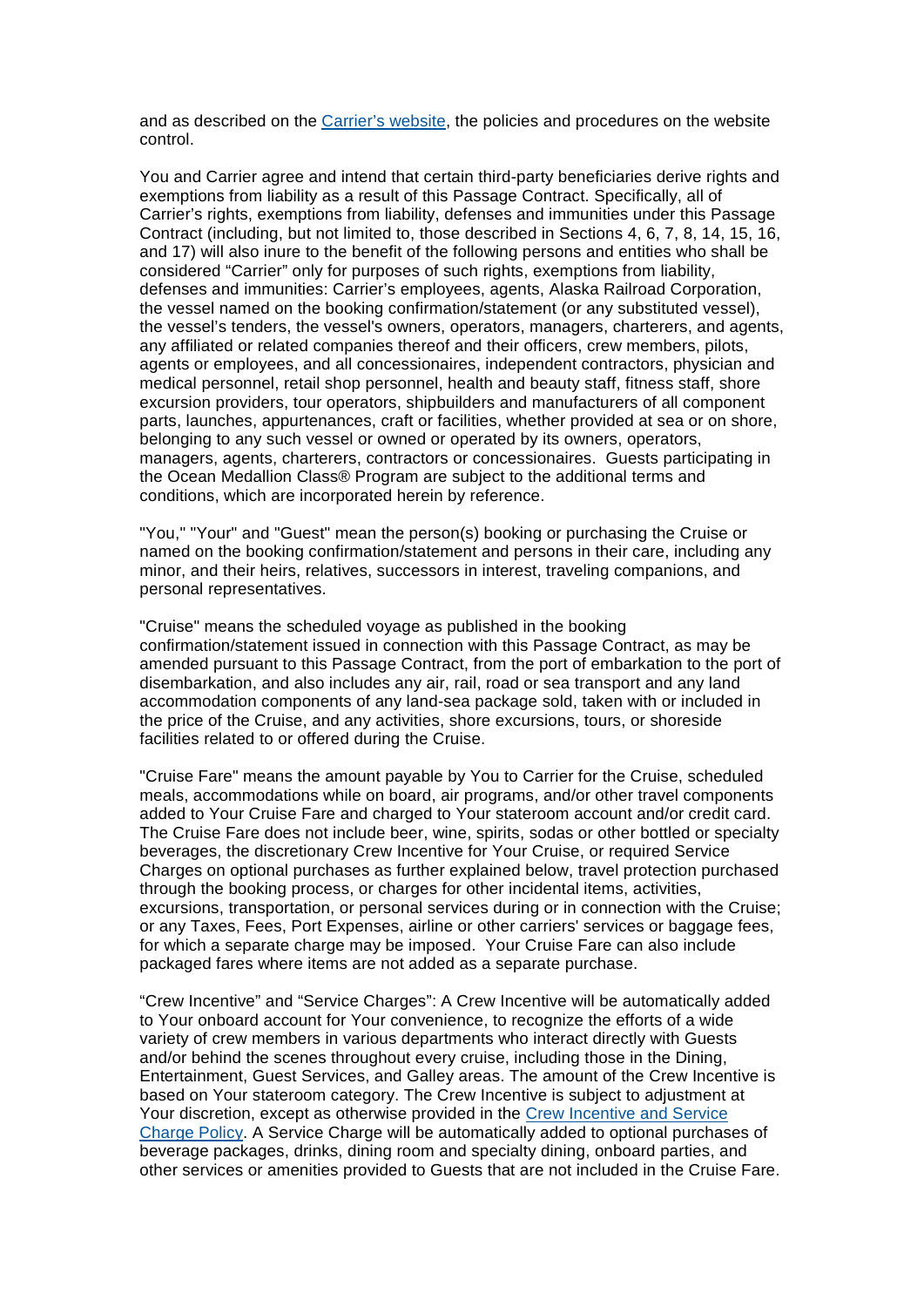and as described on the [Carrier's website,](https://www.princess.com/plan/cruise-with-confidence/cruise-health/covid-19-guest-protocols/) the policies and procedures on the website control.

You and Carrier agree and intend that certain third-party beneficiaries derive rights and exemptions from liability as a result of this Passage Contract. Specifically, all of Carrier's rights, exemptions from liability, defenses and immunities under this Passage Contract (including, but not limited to, those described in Sections 4, 6, 7, 8, 14, 15, 16, and 17) will also inure to the benefit of the following persons and entities who shall be considered "Carrier" only for purposes of such rights, exemptions from liability, defenses and immunities: Carrier's employees, agents, Alaska Railroad Corporation, the vessel named on the booking confirmation/statement (or any substituted vessel), the vessel's tenders, the vessel's owners, operators, managers, charterers, and agents, any affiliated or related companies thereof and their officers, crew members, pilots, agents or employees, and all concessionaires, independent contractors, physician and medical personnel, retail shop personnel, health and beauty staff, fitness staff, shore excursion providers, tour operators, shipbuilders and manufacturers of all component parts, launches, appurtenances, craft or facilities, whether provided at sea or on shore, belonging to any such vessel or owned or operated by its owners, operators, managers, agents, charterers, contractors or concessionaires. Guests participating in the Ocean Medallion Class® Program are subject to the additional terms and conditions, which are incorporated herein by reference.

"You," "Your" and "Guest" mean the person(s) booking or purchasing the Cruise or named on the booking confirmation/statement and persons in their care, including any minor, and their heirs, relatives, successors in interest, traveling companions, and personal representatives.

"Cruise" means the scheduled voyage as published in the booking confirmation/statement issued in connection with this Passage Contract, as may be amended pursuant to this Passage Contract, from the port of embarkation to the port of disembarkation, and also includes any air, rail, road or sea transport and any land accommodation components of any land-sea package sold, taken with or included in the price of the Cruise, and any activities, shore excursions, tours, or shoreside facilities related to or offered during the Cruise.

"Cruise Fare" means the amount payable by You to Carrier for the Cruise, scheduled meals, accommodations while on board, air programs, and/or other travel components added to Your Cruise Fare and charged to Your stateroom account and/or credit card. The Cruise Fare does not include beer, wine, spirits, sodas or other bottled or specialty beverages, the discretionary Crew Incentive for Your Cruise, or required Service Charges on optional purchases as further explained below, travel protection purchased through the booking process, or charges for other incidental items, activities, excursions, transportation, or personal services during or in connection with the Cruise; or any Taxes, Fees, Port Expenses, airline or other carriers' services or baggage fees, for which a separate charge may be imposed. Your Cruise Fare can also include packaged fares where items are not added as a separate purchase.

"Crew Incentive" and "Service Charges": A Crew Incentive will be automatically added to Your onboard account for Your convenience, to recognize the efforts of a wide variety of crew members in various departments who interact directly with Guests and/or behind the scenes throughout every cruise, including those in the Dining, Entertainment, Guest Services, and Galley areas. The amount of the Crew Incentive is based on Your stateroom category. The Crew Incentive is subject to adjustment at Your discretion, except as otherwise provided in the [Crew Incentive and Service](https://www.princess.com/html/global/disclaimers/crew-incentive/)  [Charge Policy.](https://www.princess.com/html/global/disclaimers/crew-incentive/) A Service Charge will be automatically added to optional purchases of beverage packages, drinks, dining room and specialty dining, onboard parties, and other services or amenities provided to Guests that are not included in the Cruise Fare.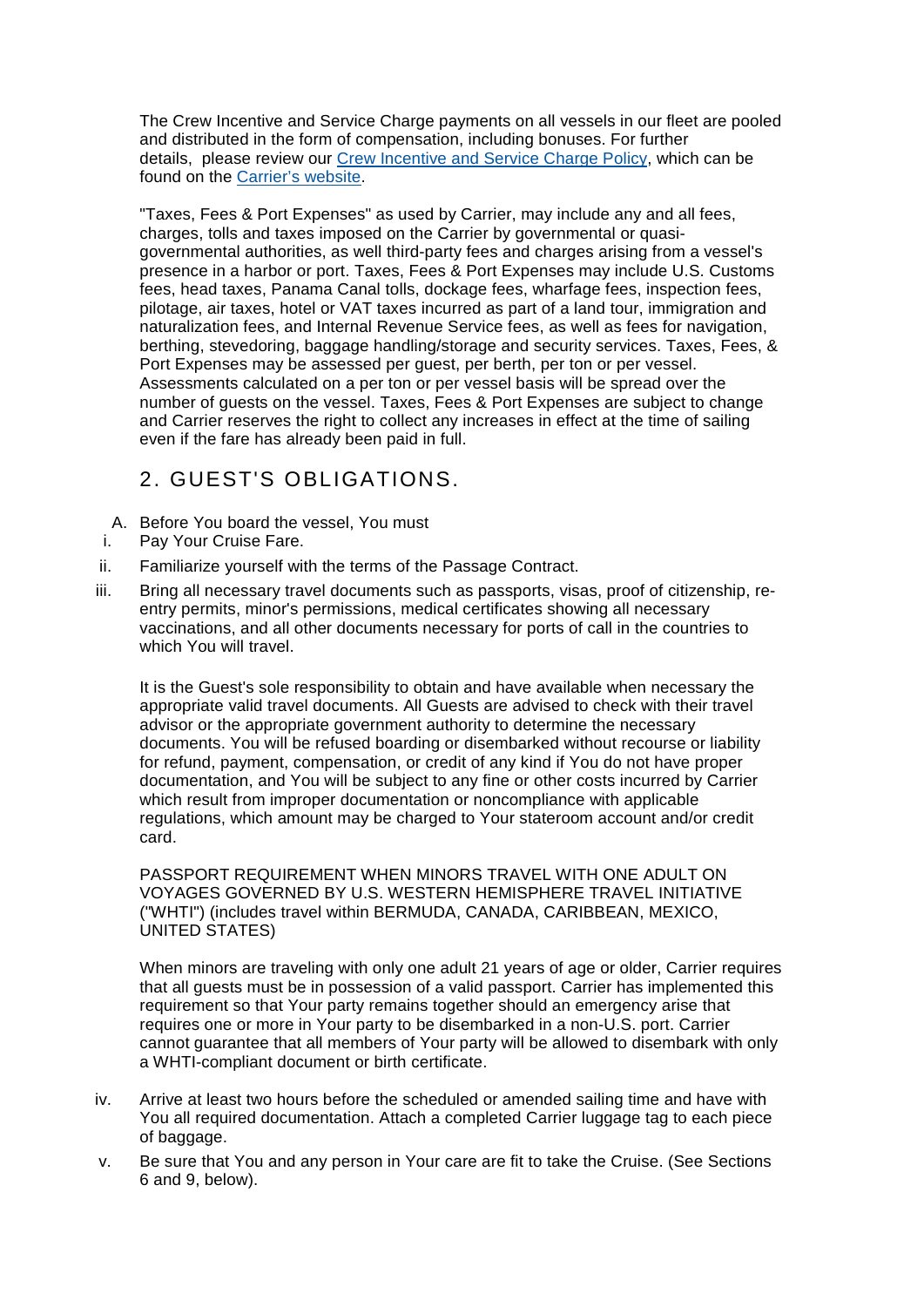The Crew Incentive and Service Charge payments on all vessels in our fleet are pooled and distributed in the form of compensation, including bonuses. For further details, please review our [Crew Incentive and Service Charge Policy,](https://www.princess.com/html/global/disclaimers/crew-incentive/) which can be found on the [Carrier's website.](https://www.princess.com/html/global/disclaimers/crew-incentive/)

"Taxes, Fees & Port Expenses" as used by Carrier, may include any and all fees, charges, tolls and taxes imposed on the Carrier by governmental or quasigovernmental authorities, as well third-party fees and charges arising from a vessel's presence in a harbor or port. Taxes, Fees & Port Expenses may include U.S. Customs fees, head taxes, Panama Canal tolls, dockage fees, wharfage fees, inspection fees, pilotage, air taxes, hotel or VAT taxes incurred as part of a land tour, immigration and naturalization fees, and Internal Revenue Service fees, as well as fees for navigation, berthing, stevedoring, baggage handling/storage and security services. Taxes, Fees, & Port Expenses may be assessed per guest, per berth, per ton or per vessel. Assessments calculated on a per ton or per vessel basis will be spread over the number of guests on the vessel. Taxes, Fees & Port Expenses are subject to change and Carrier reserves the right to collect any increases in effect at the time of sailing even if the fare has already been paid in full.

# 2. GUEST'S OBLIGATIONS.

- A. Before You board the vessel, You must
- i. Pay Your Cruise Fare.
- ii. Familiarize yourself with the terms of the Passage Contract.
- iii. Bring all necessary travel documents such as passports, visas, proof of citizenship, reentry permits, minor's permissions, medical certificates showing all necessary vaccinations, and all other documents necessary for ports of call in the countries to which You will travel.

It is the Guest's sole responsibility to obtain and have available when necessary the appropriate valid travel documents. All Guests are advised to check with their travel advisor or the appropriate government authority to determine the necessary documents. You will be refused boarding or disembarked without recourse or liability for refund, payment, compensation, or credit of any kind if You do not have proper documentation, and You will be subject to any fine or other costs incurred by Carrier which result from improper documentation or noncompliance with applicable regulations, which amount may be charged to Your stateroom account and/or credit card.

PASSPORT REQUIREMENT WHEN MINORS TRAVEL WITH ONE ADULT ON VOYAGES GOVERNED BY U.S. WESTERN HEMISPHERE TRAVEL INITIATIVE ("WHTI") (includes travel within BERMUDA, CANADA, CARIBBEAN, MEXICO, UNITED STATES)

When minors are traveling with only one adult 21 years of age or older, Carrier requires that all guests must be in possession of a valid passport. Carrier has implemented this requirement so that Your party remains together should an emergency arise that requires one or more in Your party to be disembarked in a non-U.S. port. Carrier cannot guarantee that all members of Your party will be allowed to disembark with only a WHTI-compliant document or birth certificate.

- iv. Arrive at least two hours before the scheduled or amended sailing time and have with You all required documentation. Attach a completed Carrier luggage tag to each piece of baggage.
- v. Be sure that You and any person in Your care are fit to take the Cruise. (See Sections 6 and 9, below).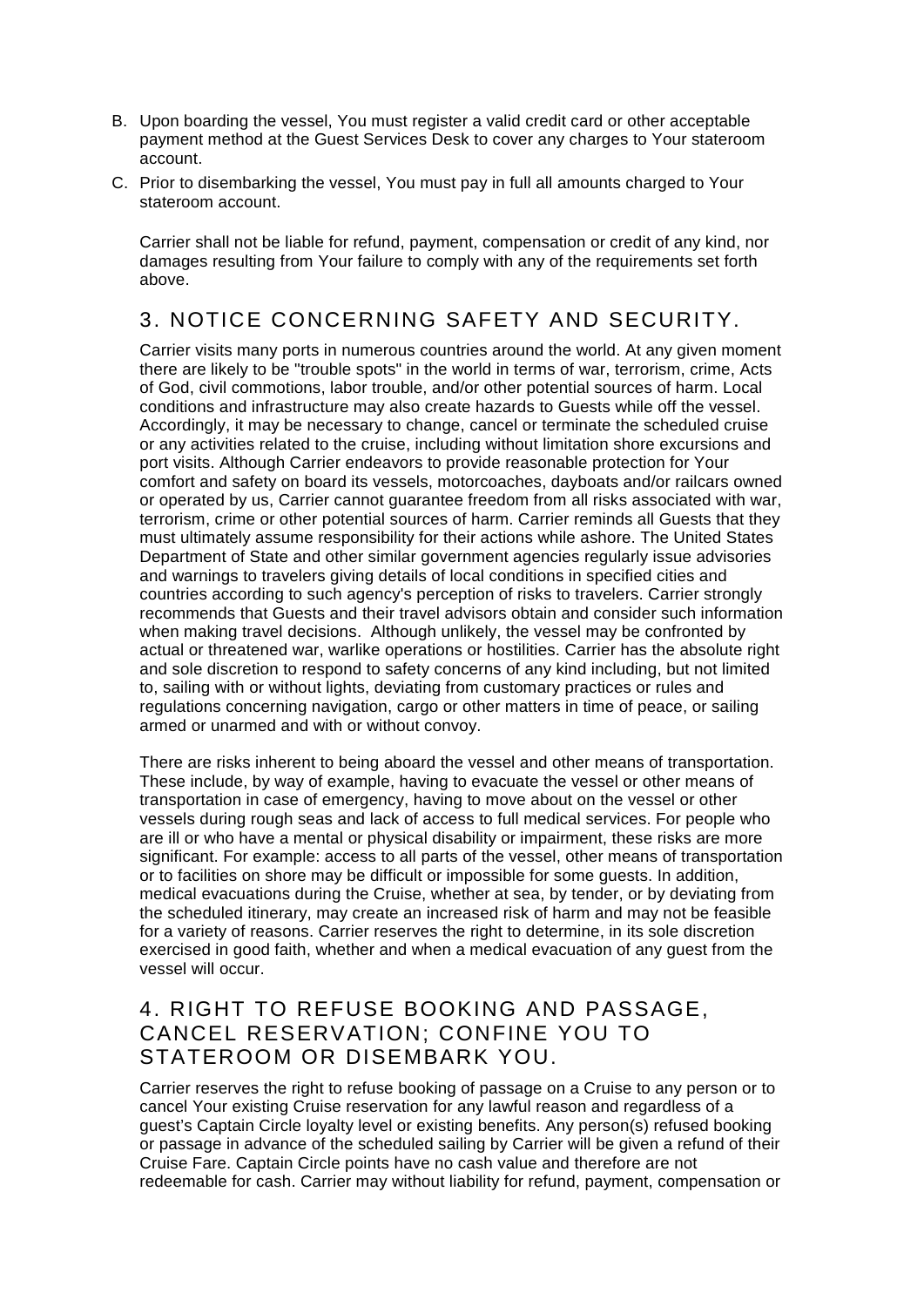- B. Upon boarding the vessel, You must register a valid credit card or other acceptable payment method at the Guest Services Desk to cover any charges to Your stateroom account.
- C. Prior to disembarking the vessel, You must pay in full all amounts charged to Your stateroom account.

Carrier shall not be liable for refund, payment, compensation or credit of any kind, nor damages resulting from Your failure to comply with any of the requirements set forth above.

# 3. NOTICE CONCERNING SAFETY AND SECURITY.

Carrier visits many ports in numerous countries around the world. At any given moment there are likely to be "trouble spots" in the world in terms of war, terrorism, crime, Acts of God, civil commotions, labor trouble, and/or other potential sources of harm. Local conditions and infrastructure may also create hazards to Guests while off the vessel. Accordingly, it may be necessary to change, cancel or terminate the scheduled cruise or any activities related to the cruise, including without limitation shore excursions and port visits. Although Carrier endeavors to provide reasonable protection for Your comfort and safety on board its vessels, motorcoaches, dayboats and/or railcars owned or operated by us, Carrier cannot guarantee freedom from all risks associated with war, terrorism, crime or other potential sources of harm. Carrier reminds all Guests that they must ultimately assume responsibility for their actions while ashore. The United States Department of State and other similar government agencies regularly issue advisories and warnings to travelers giving details of local conditions in specified cities and countries according to such agency's perception of risks to travelers. Carrier strongly recommends that Guests and their travel advisors obtain and consider such information when making travel decisions. Although unlikely, the vessel may be confronted by actual or threatened war, warlike operations or hostilities. Carrier has the absolute right and sole discretion to respond to safety concerns of any kind including, but not limited to, sailing with or without lights, deviating from customary practices or rules and regulations concerning navigation, cargo or other matters in time of peace, or sailing armed or unarmed and with or without convoy.

There are risks inherent to being aboard the vessel and other means of transportation. These include, by way of example, having to evacuate the vessel or other means of transportation in case of emergency, having to move about on the vessel or other vessels during rough seas and lack of access to full medical services. For people who are ill or who have a mental or physical disability or impairment, these risks are more significant. For example: access to all parts of the vessel, other means of transportation or to facilities on shore may be difficult or impossible for some guests. In addition, medical evacuations during the Cruise, whether at sea, by tender, or by deviating from the scheduled itinerary, may create an increased risk of harm and may not be feasible for a variety of reasons. Carrier reserves the right to determine, in its sole discretion exercised in good faith, whether and when a medical evacuation of any guest from the vessel will occur.

#### 4. RIGHT TO REFUSE BOOKING AND PASSAGE, CANCEL RESERVATION; CONFINE YOU TO STATEROOM OR DISEMBARK YOU.

Carrier reserves the right to refuse booking of passage on a Cruise to any person or to cancel Your existing Cruise reservation for any lawful reason and regardless of a guest's Captain Circle loyalty level or existing benefits. Any person(s) refused booking or passage in advance of the scheduled sailing by Carrier will be given a refund of their Cruise Fare. Captain Circle points have no cash value and therefore are not redeemable for cash. Carrier may without liability for refund, payment, compensation or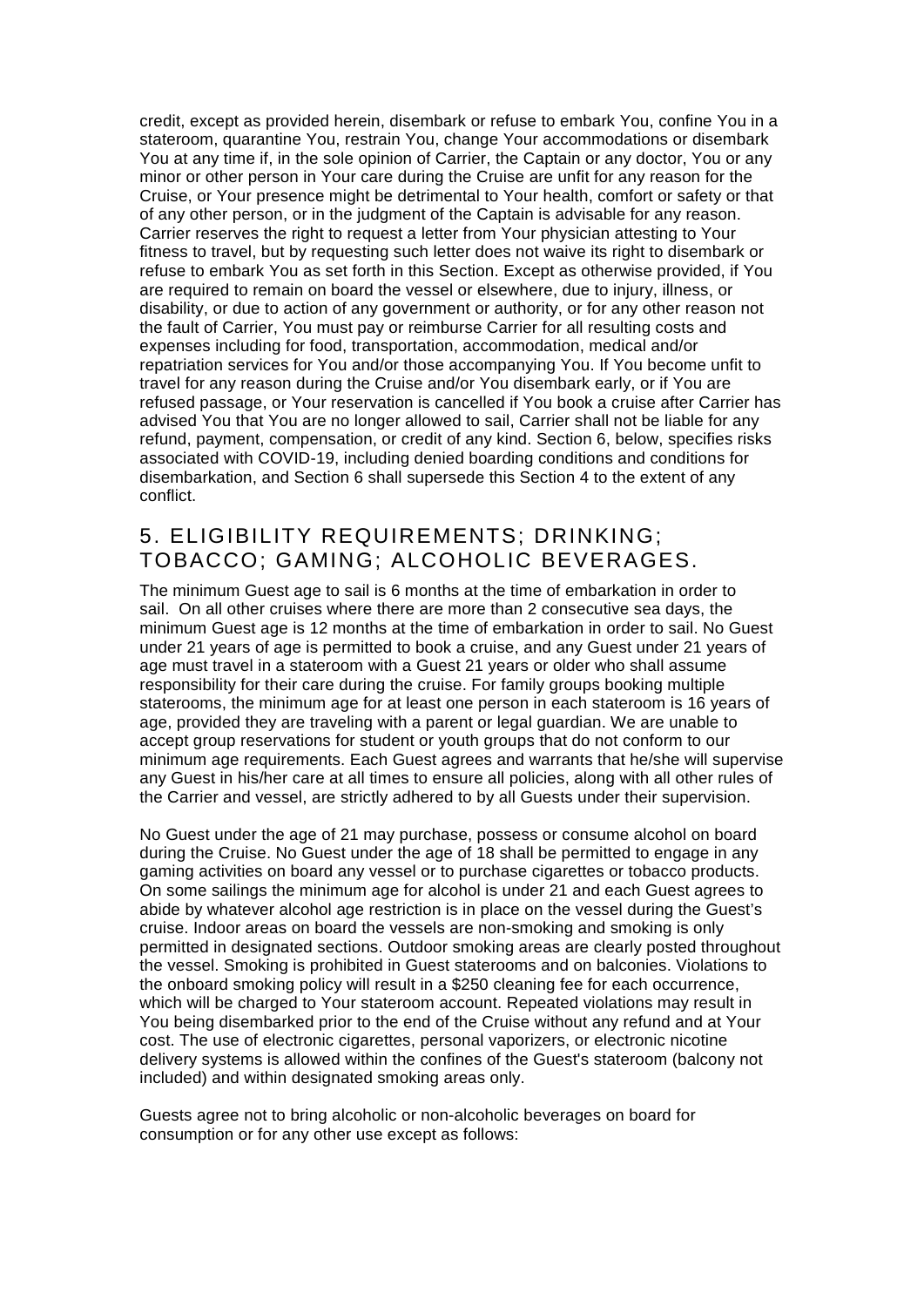credit, except as provided herein, disembark or refuse to embark You, confine You in a stateroom, quarantine You, restrain You, change Your accommodations or disembark You at any time if, in the sole opinion of Carrier, the Captain or any doctor, You or any minor or other person in Your care during the Cruise are unfit for any reason for the Cruise, or Your presence might be detrimental to Your health, comfort or safety or that of any other person, or in the judgment of the Captain is advisable for any reason. Carrier reserves the right to request a letter from Your physician attesting to Your fitness to travel, but by requesting such letter does not waive its right to disembark or refuse to embark You as set forth in this Section. Except as otherwise provided, if You are required to remain on board the vessel or elsewhere, due to injury, illness, or disability, or due to action of any government or authority, or for any other reason not the fault of Carrier, You must pay or reimburse Carrier for all resulting costs and expenses including for food, transportation, accommodation, medical and/or repatriation services for You and/or those accompanying You. If You become unfit to travel for any reason during the Cruise and/or You disembark early, or if You are refused passage, or Your reservation is cancelled if You book a cruise after Carrier has advised You that You are no longer allowed to sail, Carrier shall not be liable for any refund, payment, compensation, or credit of any kind. Section 6, below, specifies risks associated with COVID-19, including denied boarding conditions and conditions for disembarkation, and Section 6 shall supersede this Section 4 to the extent of any conflict.

#### 5. ELIGIBILITY REQUIREMENTS; DRINKING; TOBACCO; GAMING; ALCOHOLIC BEVERAGES.

The minimum Guest age to sail is 6 months at the time of embarkation in order to sail. On all other cruises where there are more than 2 consecutive sea days, the minimum Guest age is 12 months at the time of embarkation in order to sail. No Guest under 21 years of age is permitted to book a cruise, and any Guest under 21 years of age must travel in a stateroom with a Guest 21 years or older who shall assume responsibility for their care during the cruise. For family groups booking multiple staterooms, the minimum age for at least one person in each stateroom is 16 years of age, provided they are traveling with a parent or legal guardian. We are unable to accept group reservations for student or youth groups that do not conform to our minimum age requirements. Each Guest agrees and warrants that he/she will supervise any Guest in his/her care at all times to ensure all policies, along with all other rules of the Carrier and vessel, are strictly adhered to by all Guests under their supervision.

No Guest under the age of 21 may purchase, possess or consume alcohol on board during the Cruise. No Guest under the age of 18 shall be permitted to engage in any gaming activities on board any vessel or to purchase cigarettes or tobacco products. On some sailings the minimum age for alcohol is under 21 and each Guest agrees to abide by whatever alcohol age restriction is in place on the vessel during the Guest's cruise. Indoor areas on board the vessels are non-smoking and smoking is only permitted in designated sections. Outdoor smoking areas are clearly posted throughout the vessel. Smoking is prohibited in Guest staterooms and on balconies. Violations to the onboard smoking policy will result in a \$250 cleaning fee for each occurrence, which will be charged to Your stateroom account. Repeated violations may result in You being disembarked prior to the end of the Cruise without any refund and at Your cost. The use of electronic cigarettes, personal vaporizers, or electronic nicotine delivery systems is allowed within the confines of the Guest's stateroom (balcony not included) and within designated smoking areas only.

Guests agree not to bring alcoholic or non-alcoholic beverages on board for consumption or for any other use except as follows: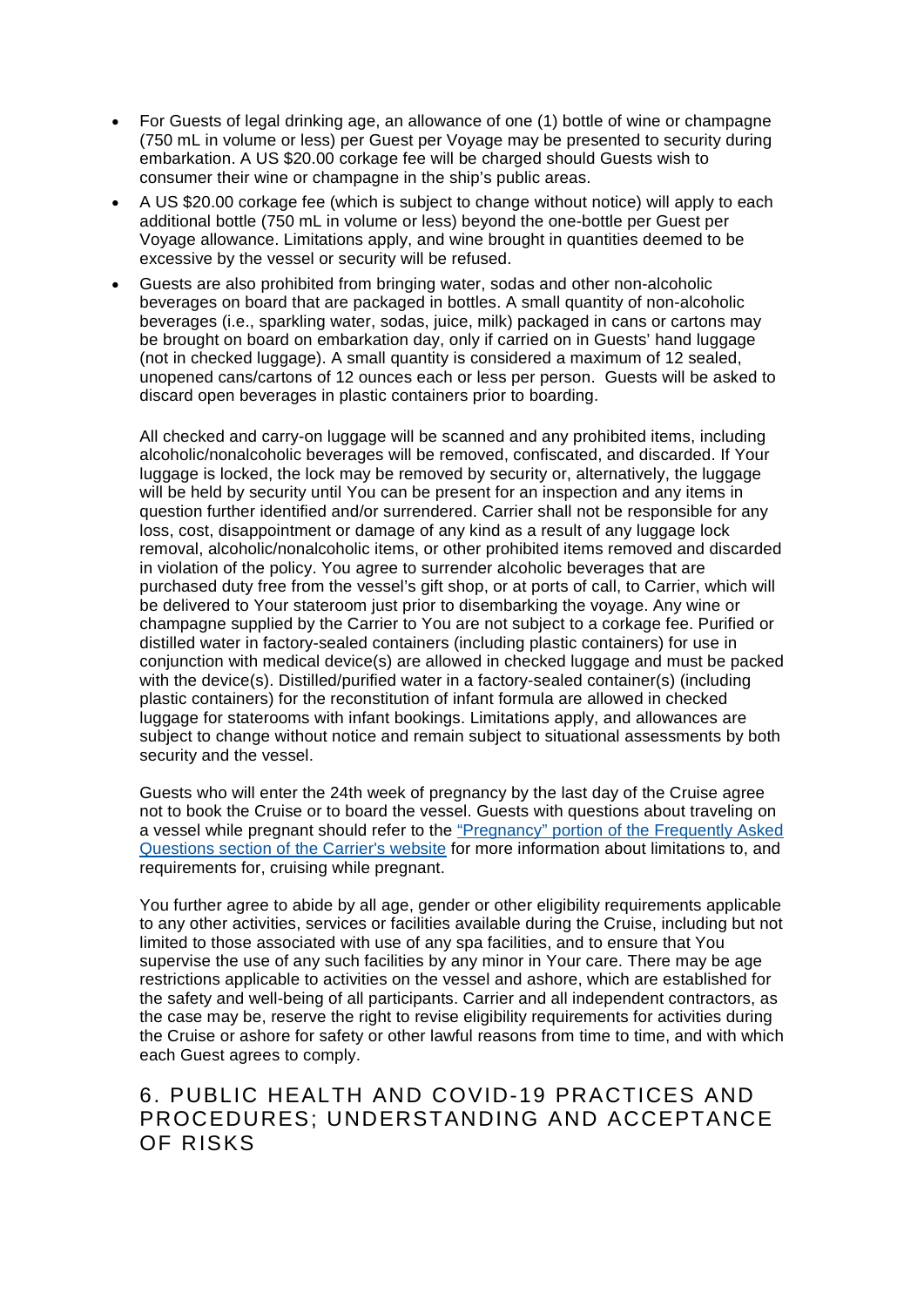- For Guests of legal drinking age, an allowance of one (1) bottle of wine or champagne (750 mL in volume or less) per Guest per Voyage may be presented to security during embarkation. A US \$20.00 corkage fee will be charged should Guests wish to consumer their wine or champagne in the ship's public areas.
- A US \$20.00 corkage fee (which is subject to change without notice) will apply to each additional bottle (750 mL in volume or less) beyond the one-bottle per Guest per Voyage allowance. Limitations apply, and wine brought in quantities deemed to be excessive by the vessel or security will be refused.
- Guests are also prohibited from bringing water, sodas and other non-alcoholic beverages on board that are packaged in bottles. A small quantity of non-alcoholic beverages (i.e., sparkling water, sodas, juice, milk) packaged in cans or cartons may be brought on board on embarkation day, only if carried on in Guests' hand luggage (not in checked luggage). A small quantity is considered a maximum of 12 sealed, unopened cans/cartons of 12 ounces each or less per person. Guests will be asked to discard open beverages in plastic containers prior to boarding.

All checked and carry-on luggage will be scanned and any prohibited items, including alcoholic/nonalcoholic beverages will be removed, confiscated, and discarded. If Your luggage is locked, the lock may be removed by security or, alternatively, the luggage will be held by security until You can be present for an inspection and any items in question further identified and/or surrendered. Carrier shall not be responsible for any loss, cost, disappointment or damage of any kind as a result of any luggage lock removal, alcoholic/nonalcoholic items, or other prohibited items removed and discarded in violation of the policy. You agree to surrender alcoholic beverages that are purchased duty free from the vessel's gift shop, or at ports of call, to Carrier, which will be delivered to Your stateroom just prior to disembarking the voyage. Any wine or champagne supplied by the Carrier to You are not subject to a corkage fee. Purified or distilled water in factory-sealed containers (including plastic containers) for use in conjunction with medical device(s) are allowed in checked luggage and must be packed with the device(s). Distilled/purified water in a factory-sealed container(s) (including plastic containers) for the reconstitution of infant formula are allowed in checked luggage for staterooms with infant bookings. Limitations apply, and allowances are subject to change without notice and remain subject to situational assessments by both security and the vessel.

Guests who will enter the 24th week of pregnancy by the last day of the Cruise agree not to book the Cruise or to board the vessel. Guests with questions about traveling on a vessel while pregnant should refer to the ["Pregnancy" portion of the Frequently Asked](https://www.princess.com/learn/faq_answer/pre_cruise/prepare.jsp)  [Questions section of the Carrier's website](https://www.princess.com/learn/faq_answer/pre_cruise/prepare.jsp) for more information about limitations to, and requirements for, cruising while pregnant.

You further agree to abide by all age, gender or other eligibility requirements applicable to any other activities, services or facilities available during the Cruise, including but not limited to those associated with use of any spa facilities, and to ensure that You supervise the use of any such facilities by any minor in Your care. There may be age restrictions applicable to activities on the vessel and ashore, which are established for the safety and well-being of all participants. Carrier and all independent contractors, as the case may be, reserve the right to revise eligibility requirements for activities during the Cruise or ashore for safety or other lawful reasons from time to time, and with which each Guest agrees to comply.

#### 6. PUBLIC HEALTH AND COVID-19 PRACTICES AND PROCEDURES; UNDERSTANDING AND ACCEPTANCE OF RISKS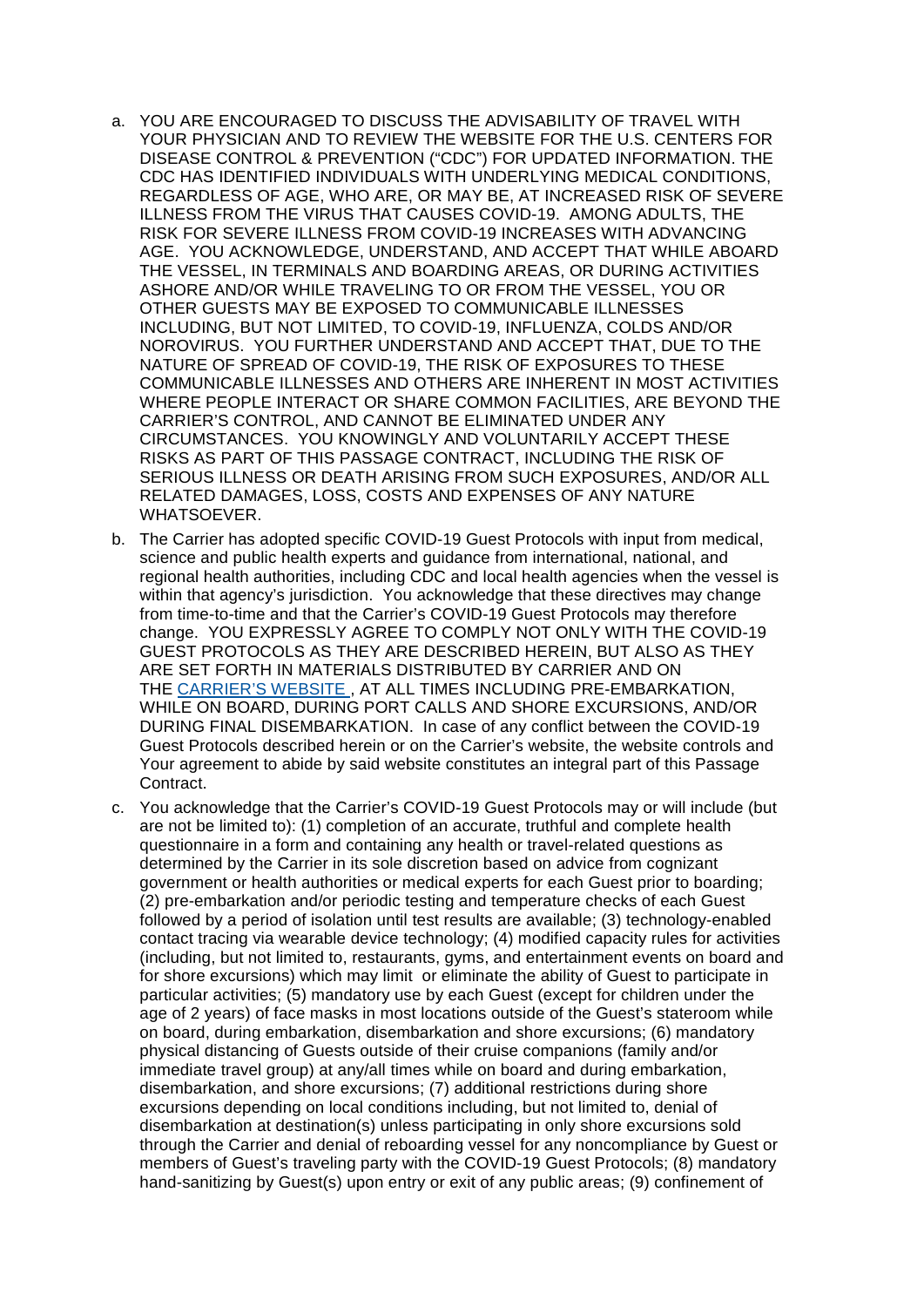- a. YOU ARE ENCOURAGED TO DISCUSS THE ADVISABILITY OF TRAVEL WITH YOUR PHYSICIAN AND TO REVIEW THE WEBSITE FOR THE U.S. CENTERS FOR DISEASE CONTROL & PREVENTION ("CDC") FOR UPDATED INFORMATION. THE CDC HAS IDENTIFIED INDIVIDUALS WITH UNDERLYING MEDICAL CONDITIONS, REGARDLESS OF AGE, WHO ARE, OR MAY BE, AT INCREASED RISK OF SEVERE ILLNESS FROM THE VIRUS THAT CAUSES COVID-19. AMONG ADULTS, THE RISK FOR SEVERE ILLNESS FROM COVID-19 INCREASES WITH ADVANCING AGE. YOU ACKNOWLEDGE, UNDERSTAND, AND ACCEPT THAT WHILE ABOARD THE VESSEL, IN TERMINALS AND BOARDING AREAS, OR DURING ACTIVITIES ASHORE AND/OR WHILE TRAVELING TO OR FROM THE VESSEL, YOU OR OTHER GUESTS MAY BE EXPOSED TO COMMUNICABLE ILLNESSES INCLUDING, BUT NOT LIMITED, TO COVID-19, INFLUENZA, COLDS AND/OR NOROVIRUS. YOU FURTHER UNDERSTAND AND ACCEPT THAT, DUE TO THE NATURE OF SPREAD OF COVID-19, THE RISK OF EXPOSURES TO THESE COMMUNICABLE ILLNESSES AND OTHERS ARE INHERENT IN MOST ACTIVITIES WHERE PEOPLE INTERACT OR SHARE COMMON FACILITIES, ARE BEYOND THE CARRIER'S CONTROL, AND CANNOT BE ELIMINATED UNDER ANY CIRCUMSTANCES. YOU KNOWINGLY AND VOLUNTARILY ACCEPT THESE RISKS AS PART OF THIS PASSAGE CONTRACT, INCLUDING THE RISK OF SERIOUS ILLNESS OR DEATH ARISING FROM SUCH EXPOSURES, AND/OR ALL RELATED DAMAGES, LOSS, COSTS AND EXPENSES OF ANY NATURE WHATSOEVER.
- b. The Carrier has adopted specific COVID-19 Guest Protocols with input from medical, science and public health experts and guidance from international, national, and regional health authorities, including CDC and local health agencies when the vessel is within that agency's jurisdiction. You acknowledge that these directives may change from time-to-time and that the Carrier's COVID-19 Guest Protocols may therefore change. YOU EXPRESSLY AGREE TO COMPLY NOT ONLY WITH THE COVID-19 GUEST PROTOCOLS AS THEY ARE DESCRIBED HEREIN, BUT ALSO AS THEY ARE SET FORTH IN MATERIALS DISTRIBUTED BY CARRIER AND ON THE [CARRIER'S WEBSITE](https://www.princess.com/plan/cruise-with-confidence/cruise-health/covid-19-guest-protocols/) , AT ALL TIMES INCLUDING PRE-EMBARKATION, WHILE ON BOARD, DURING PORT CALLS AND SHORE EXCURSIONS, AND/OR DURING FINAL DISEMBARKATION. In case of any conflict between the COVID-19 Guest Protocols described herein or on the Carrier's website, the website controls and Your agreement to abide by said website constitutes an integral part of this Passage Contract.
- c. You acknowledge that the Carrier's COVID-19 Guest Protocols may or will include (but are not be limited to): (1) completion of an accurate, truthful and complete health questionnaire in a form and containing any health or travel-related questions as determined by the Carrier in its sole discretion based on advice from cognizant government or health authorities or medical experts for each Guest prior to boarding; (2) pre-embarkation and/or periodic testing and temperature checks of each Guest followed by a period of isolation until test results are available; (3) technology-enabled contact tracing via wearable device technology; (4) modified capacity rules for activities (including, but not limited to, restaurants, gyms, and entertainment events on board and for shore excursions) which may limit or eliminate the ability of Guest to participate in particular activities; (5) mandatory use by each Guest (except for children under the age of 2 years) of face masks in most locations outside of the Guest's stateroom while on board, during embarkation, disembarkation and shore excursions; (6) mandatory physical distancing of Guests outside of their cruise companions (family and/or immediate travel group) at any/all times while on board and during embarkation, disembarkation, and shore excursions; (7) additional restrictions during shore excursions depending on local conditions including, but not limited to, denial of disembarkation at destination(s) unless participating in only shore excursions sold through the Carrier and denial of reboarding vessel for any noncompliance by Guest or members of Guest's traveling party with the COVID-19 Guest Protocols; (8) mandatory hand-sanitizing by Guest(s) upon entry or exit of any public areas; (9) confinement of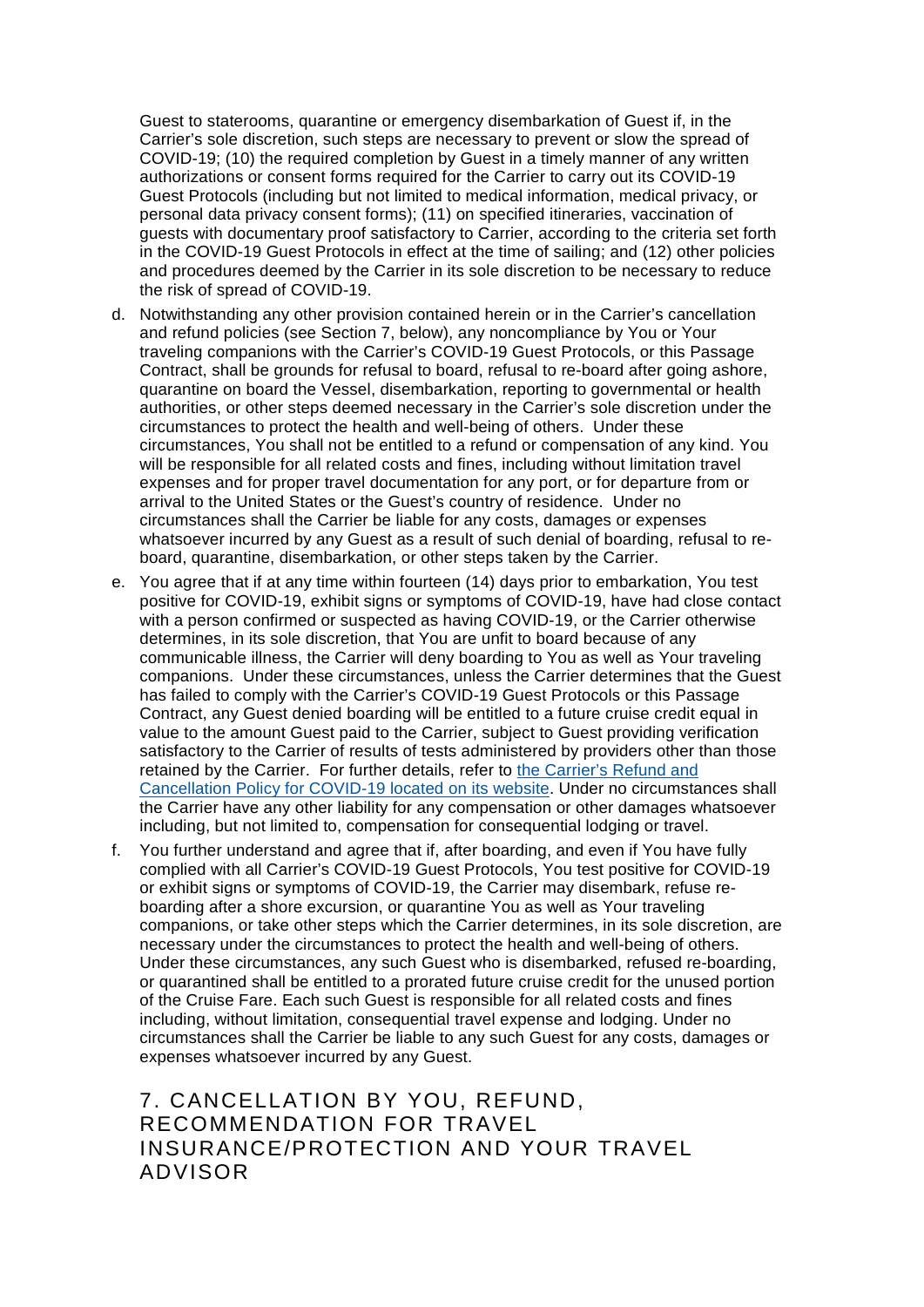Guest to staterooms, quarantine or emergency disembarkation of Guest if, in the Carrier's sole discretion, such steps are necessary to prevent or slow the spread of COVID-19; (10) the required completion by Guest in a timely manner of any written authorizations or consent forms required for the Carrier to carry out its COVID-19 Guest Protocols (including but not limited to medical information, medical privacy, or personal data privacy consent forms); (11) on specified itineraries, vaccination of guests with documentary proof satisfactory to Carrier, according to the criteria set forth in the COVID-19 Guest Protocols in effect at the time of sailing; and (12) other policies and procedures deemed by the Carrier in its sole discretion to be necessary to reduce the risk of spread of COVID-19.

- d. Notwithstanding any other provision contained herein or in the Carrier's cancellation and refund policies (see Section 7, below), any noncompliance by You or Your traveling companions with the Carrier's COVID-19 Guest Protocols, or this Passage Contract, shall be grounds for refusal to board, refusal to re-board after going ashore, quarantine on board the Vessel, disembarkation, reporting to governmental or health authorities, or other steps deemed necessary in the Carrier's sole discretion under the circumstances to protect the health and well-being of others. Under these circumstances, You shall not be entitled to a refund or compensation of any kind. You will be responsible for all related costs and fines, including without limitation travel expenses and for proper travel documentation for any port, or for departure from or arrival to the United States or the Guest's country of residence. Under no circumstances shall the Carrier be liable for any costs, damages or expenses whatsoever incurred by any Guest as a result of such denial of boarding, refusal to reboard, quarantine, disembarkation, or other steps taken by the Carrier.
- e. You agree that if at any time within fourteen (14) days prior to embarkation, You test positive for COVID-19, exhibit signs or symptoms of COVID-19, have had close contact with a person confirmed or suspected as having COVID-19, or the Carrier otherwise determines, in its sole discretion, that You are unfit to board because of any communicable illness, the Carrier will deny boarding to You as well as Your traveling companions. Under these circumstances, unless the Carrier determines that the Guest has failed to comply with the Carrier's COVID-19 Guest Protocols or this Passage Contract, any Guest denied boarding will be entitled to a future cruise credit equal in value to the amount Guest paid to the Carrier, subject to Guest providing verification satisfactory to the Carrier of results of tests administered by providers other than those retained by the Carrier. For further details, refer to [the Carrier's Refund and](https://www.princess.com/legal/covid-19-refund-cancellation-policy/)  [Cancellation Policy for COVID-19 located on its website.](https://www.princess.com/legal/covid-19-refund-cancellation-policy/) Under no circumstances shall the Carrier have any other liability for any compensation or other damages whatsoever including, but not limited to, compensation for consequential lodging or travel.
- f. You further understand and agree that if, after boarding, and even if You have fully complied with all Carrier's COVID-19 Guest Protocols, You test positive for COVID-19 or exhibit signs or symptoms of COVID-19, the Carrier may disembark, refuse reboarding after a shore excursion, or quarantine You as well as Your traveling companions, or take other steps which the Carrier determines, in its sole discretion, are necessary under the circumstances to protect the health and well-being of others. Under these circumstances, any such Guest who is disembarked, refused re-boarding, or quarantined shall be entitled to a prorated future cruise credit for the unused portion of the Cruise Fare. Each such Guest is responsible for all related costs and fines including, without limitation, consequential travel expense and lodging. Under no circumstances shall the Carrier be liable to any such Guest for any costs, damages or expenses whatsoever incurred by any Guest.

## 7. CANCELLATION BY YOU, REFUND, RECOMMENDATION FOR TRAVEL INSURANCE/PROTECTION AND YOUR TRAVEL ADVISOR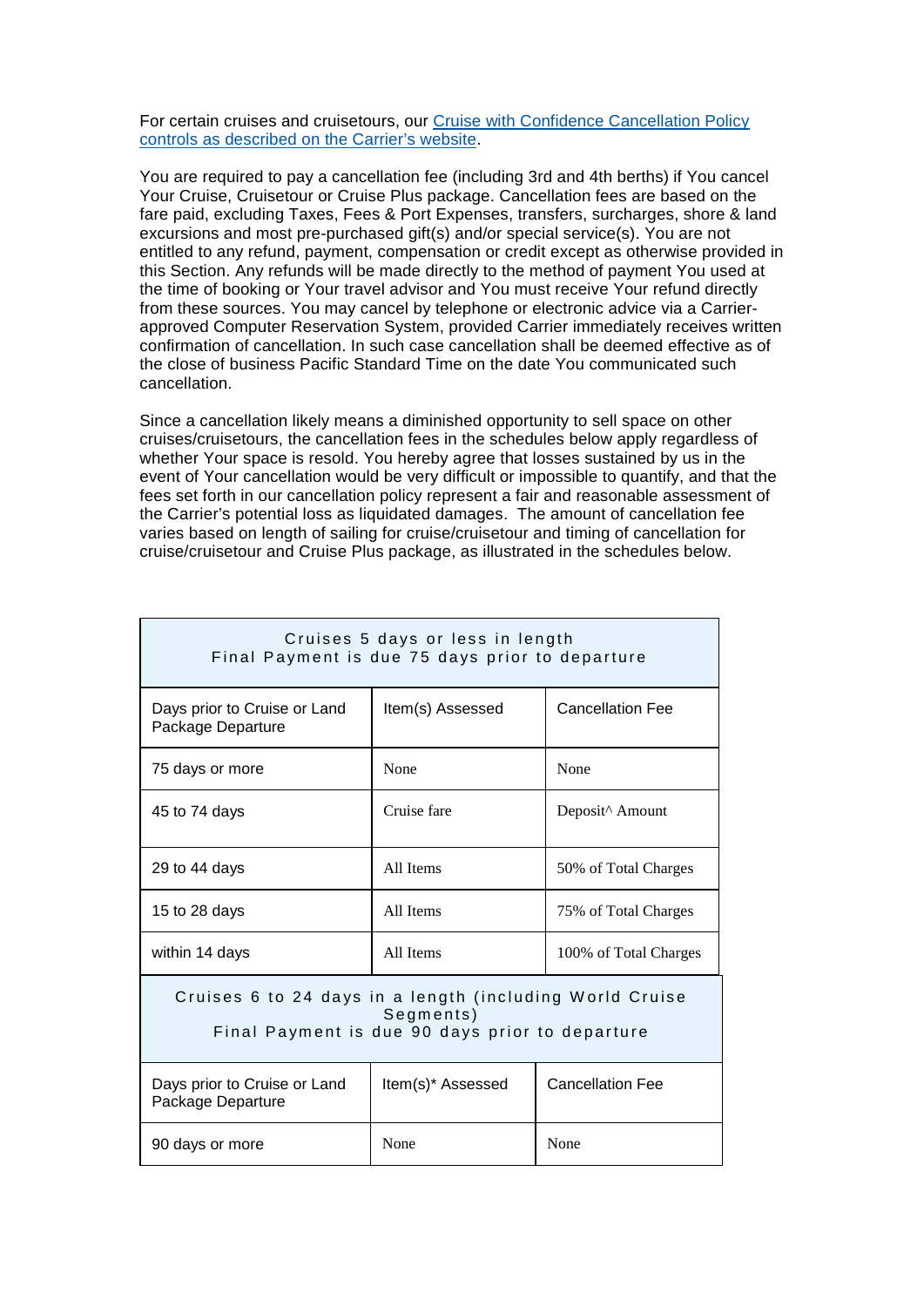For certain cruises and cruisetours, our [Cruise with Confidence Cancellation Policy](https://www.princess.com/plan/cruise-with-confidence/cancellation-final-payment-policy/)  [controls as described on the Carrier's website.](https://www.princess.com/plan/cruise-with-confidence/cancellation-final-payment-policy/)

You are required to pay a cancellation fee (including 3rd and 4th berths) if You cancel Your Cruise, Cruisetour or Cruise Plus package. Cancellation fees are based on the fare paid, excluding Taxes, Fees & Port Expenses, transfers, surcharges, shore & land excursions and most pre-purchased gift(s) and/or special service(s). You are not entitled to any refund, payment, compensation or credit except as otherwise provided in this Section. Any refunds will be made directly to the method of payment You used at the time of booking or Your travel advisor and You must receive Your refund directly from these sources. You may cancel by telephone or electronic advice via a Carrierapproved Computer Reservation System, provided Carrier immediately receives written confirmation of cancellation. In such case cancellation shall be deemed effective as of the close of business Pacific Standard Time on the date You communicated such cancellation.

Since a cancellation likely means a diminished opportunity to sell space on other cruises/cruisetours, the cancellation fees in the schedules below apply regardless of whether Your space is resold. You hereby agree that losses sustained by us in the event of Your cancellation would be very difficult or impossible to quantify, and that the fees set forth in our cancellation policy represent a fair and reasonable assessment of the Carrier's potential loss as liquidated damages. The amount of cancellation fee varies based on length of sailing for cruise/cruisetour and timing of cancellation for cruise/cruisetour and Cruise Plus package, as illustrated in the schedules below.

| Cruises 5 days or less in length<br>Final Payment is due 75 days prior to departure                                      |                   |                         |  |  |
|--------------------------------------------------------------------------------------------------------------------------|-------------------|-------------------------|--|--|
| Days prior to Cruise or Land<br>Package Departure                                                                        | Item(s) Assessed  | <b>Cancellation Fee</b> |  |  |
| 75 days or more                                                                                                          | None              | None                    |  |  |
| 45 to 74 days                                                                                                            | Cruise fare       | Deposit^ Amount         |  |  |
| 29 to 44 days                                                                                                            | All Items         | 50% of Total Charges    |  |  |
| 15 to 28 days                                                                                                            | All Items         | 75% of Total Charges    |  |  |
| within 14 days                                                                                                           | All Items         | 100% of Total Charges   |  |  |
| Cruises 6 to 24 days in a length (including World Cruise<br>Segments)<br>Final Payment is due 90 days prior to departure |                   |                         |  |  |
| Days prior to Cruise or Land<br>Package Departure                                                                        | Item(s)* Assessed | <b>Cancellation Fee</b> |  |  |
| 90 days or more                                                                                                          | None<br>None      |                         |  |  |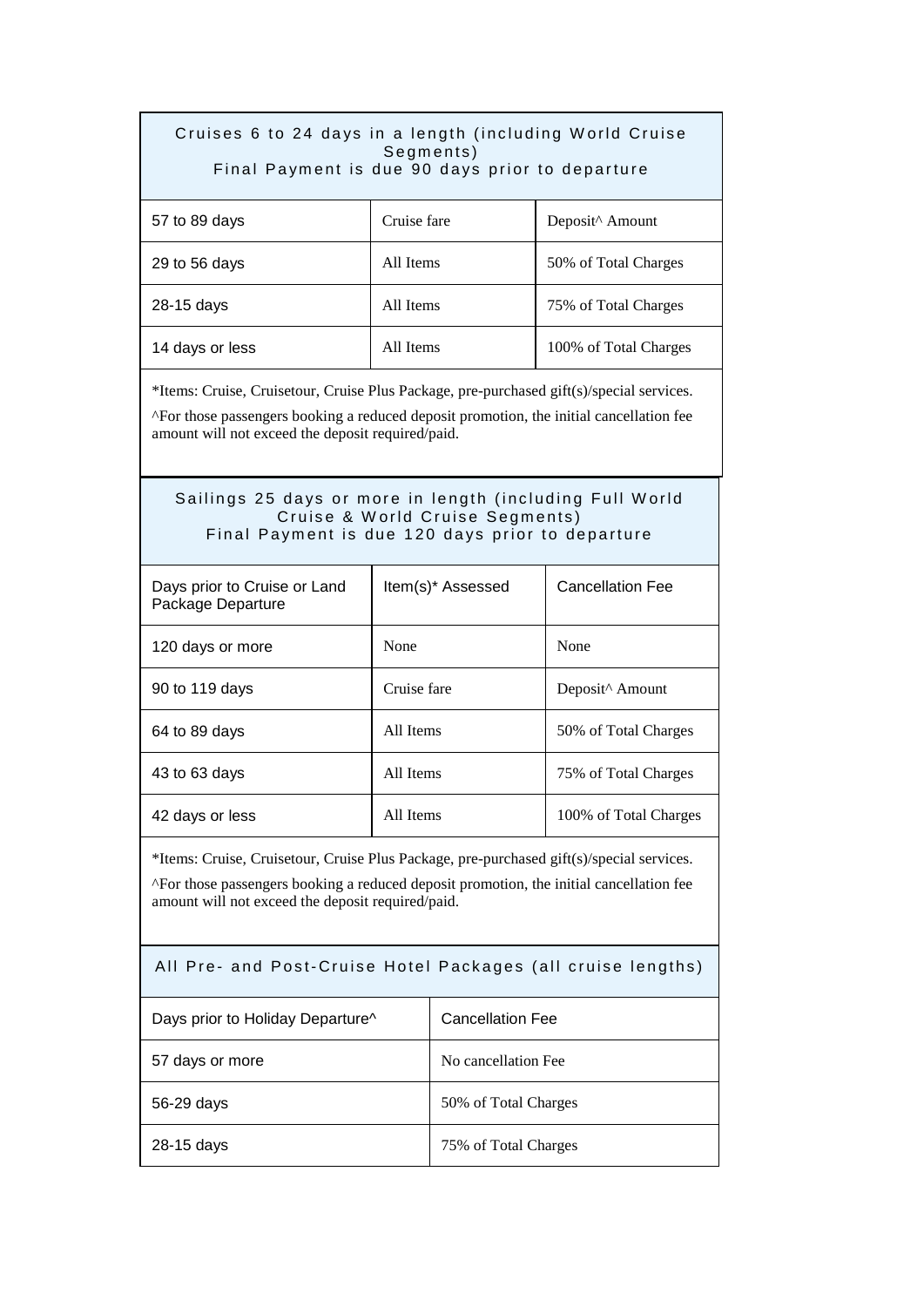| Cruises 6 to 24 days in a length (including World Cruise<br>Segments)<br>Final Payment is due 90 days prior to departure                                                                                                                 |                   |                         |                         |  |
|------------------------------------------------------------------------------------------------------------------------------------------------------------------------------------------------------------------------------------------|-------------------|-------------------------|-------------------------|--|
| 57 to 89 days                                                                                                                                                                                                                            | Cruise fare       |                         | Deposit^ Amount         |  |
| 29 to 56 days                                                                                                                                                                                                                            | All Items         |                         | 50% of Total Charges    |  |
| 28-15 days                                                                                                                                                                                                                               | All Items         |                         | 75% of Total Charges    |  |
| 14 days or less                                                                                                                                                                                                                          | All Items         |                         | 100% of Total Charges   |  |
| *Items: Cruise, Cruisetour, Cruise Plus Package, pre-purchased gift(s)/special services.<br>^For those passengers booking a reduced deposit promotion, the initial cancellation fee<br>amount will not exceed the deposit required/paid. |                   |                         |                         |  |
| Sailings 25 days or more in length (including Full World<br>Cruise & World Cruise Segments)<br>Final Payment is due 120 days prior to departure                                                                                          |                   |                         |                         |  |
| Days prior to Cruise or Land<br>Package Departure                                                                                                                                                                                        | Item(s)* Assessed |                         | <b>Cancellation Fee</b> |  |
| 120 days or more                                                                                                                                                                                                                         | None              |                         | None                    |  |
| 90 to 119 days                                                                                                                                                                                                                           | Cruise fare       |                         | Deposit^ Amount         |  |
| 64 to 89 days                                                                                                                                                                                                                            | All Items         |                         | 50% of Total Charges    |  |
| 43 to 63 days                                                                                                                                                                                                                            | All Items         |                         | 75% of Total Charges    |  |
| 42 days or less                                                                                                                                                                                                                          | All Items         |                         | 100% of Total Charges   |  |
| *Items: Cruise, Cruisetour, Cruise Plus Package, pre-purchased gift(s)/special services.<br>^For those passengers booking a reduced deposit promotion, the initial cancellation fee<br>amount will not exceed the deposit required/paid. |                   |                         |                         |  |
| All Pre- and Post-Cruise Hotel Packages (all cruise lengths)                                                                                                                                                                             |                   |                         |                         |  |
| Days prior to Holiday Departure^                                                                                                                                                                                                         |                   | <b>Cancellation Fee</b> |                         |  |
| 57 days or more                                                                                                                                                                                                                          |                   | No cancellation Fee     |                         |  |
| 56-29 days                                                                                                                                                                                                                               |                   | 50% of Total Charges    |                         |  |
| 28-15 days                                                                                                                                                                                                                               |                   | 75% of Total Charges    |                         |  |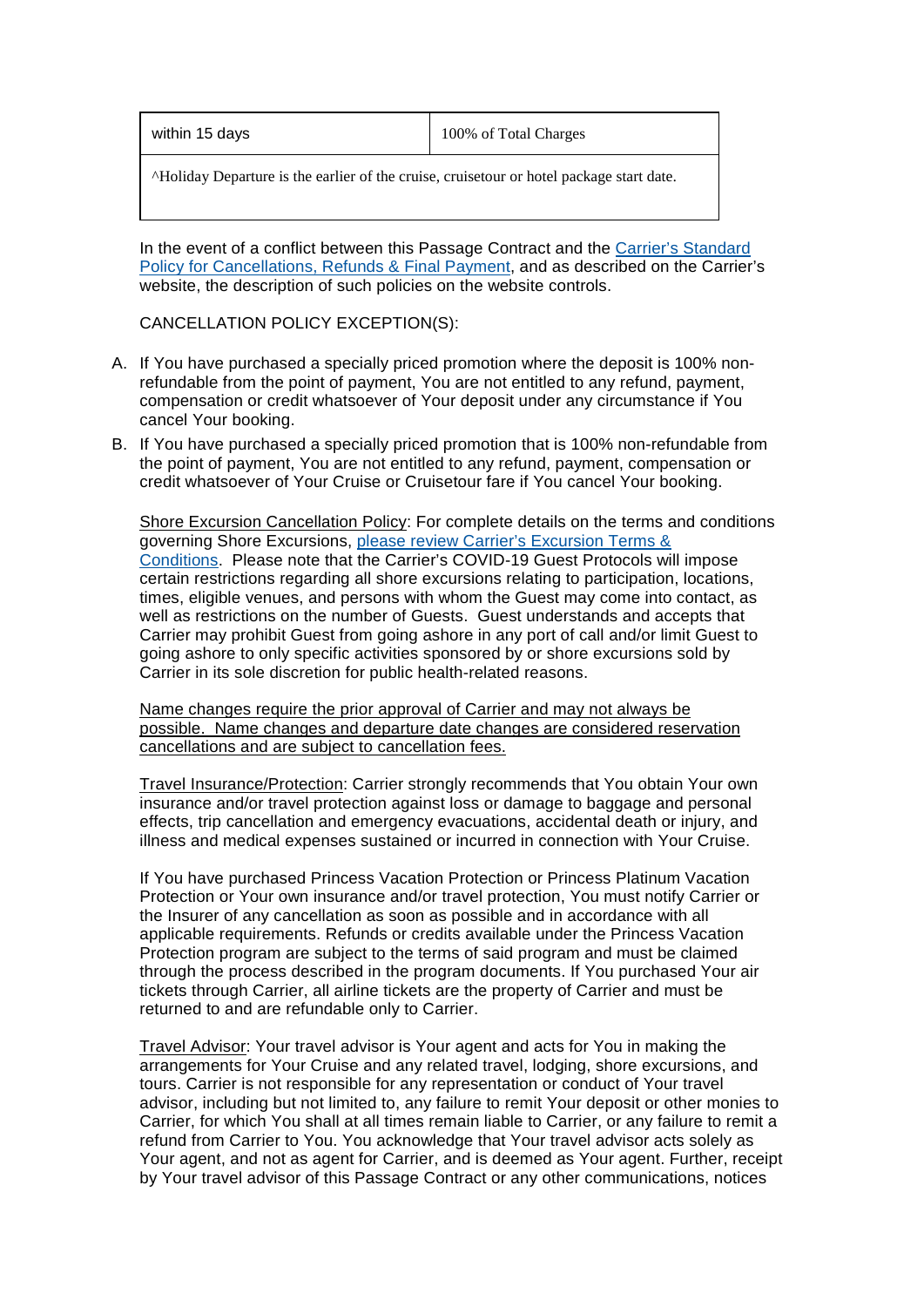| within 15 days | 100% of Total Charges |
|----------------|-----------------------|
|                |                       |

^Holiday Departure is the earlier of the cruise, cruisetour or hotel package start date.

In the event of a conflict between this Passage Contract and the Carrier's Standard [Policy for Cancellations, Refunds & Final Payment,](https://www.princess.com/plan/standard-cancellation-refund-policy/) and as described on the Carrier's website, the description of such policies on the website controls.

CANCELLATION POLICY EXCEPTION(S):

- A. If You have purchased a specially priced promotion where the deposit is 100% nonrefundable from the point of payment, You are not entitled to any refund, payment, compensation or credit whatsoever of Your deposit under any circumstance if You cancel Your booking.
- B. If You have purchased a specially priced promotion that is 100% non-refundable from the point of payment, You are not entitled to any refund, payment, compensation or credit whatsoever of Your Cruise or Cruisetour fare if You cancel Your booking.

Shore Excursion Cancellation Policy: For complete details on the terms and conditions governing Shore Excursions, [please review Carrier's Excursion Terms &](https://www.princess.com/legal/excursion_terms_conditions/)  [Conditions.](https://www.princess.com/legal/excursion_terms_conditions/) Please note that the Carrier's COVID-19 Guest Protocols will impose certain restrictions regarding all shore excursions relating to participation, locations, times, eligible venues, and persons with whom the Guest may come into contact, as well as restrictions on the number of Guests. Guest understands and accepts that Carrier may prohibit Guest from going ashore in any port of call and/or limit Guest to going ashore to only specific activities sponsored by or shore excursions sold by Carrier in its sole discretion for public health-related reasons.

Name changes require the prior approval of Carrier and may not always be possible. Name changes and departure date changes are considered reservation cancellations and are subject to cancellation fees.

Travel Insurance/Protection: Carrier strongly recommends that You obtain Your own insurance and/or travel protection against loss or damage to baggage and personal effects, trip cancellation and emergency evacuations, accidental death or injury, and illness and medical expenses sustained or incurred in connection with Your Cruise.

If You have purchased Princess Vacation Protection or Princess Platinum Vacation Protection or Your own insurance and/or travel protection, You must notify Carrier or the Insurer of any cancellation as soon as possible and in accordance with all applicable requirements. Refunds or credits available under the Princess Vacation Protection program are subject to the terms of said program and must be claimed through the process described in the program documents. If You purchased Your air tickets through Carrier, all airline tickets are the property of Carrier and must be returned to and are refundable only to Carrier.

Travel Advisor: Your travel advisor is Your agent and acts for You in making the arrangements for Your Cruise and any related travel, lodging, shore excursions, and tours. Carrier is not responsible for any representation or conduct of Your travel advisor, including but not limited to, any failure to remit Your deposit or other monies to Carrier, for which You shall at all times remain liable to Carrier, or any failure to remit a refund from Carrier to You. You acknowledge that Your travel advisor acts solely as Your agent, and not as agent for Carrier, and is deemed as Your agent. Further, receipt by Your travel advisor of this Passage Contract or any other communications, notices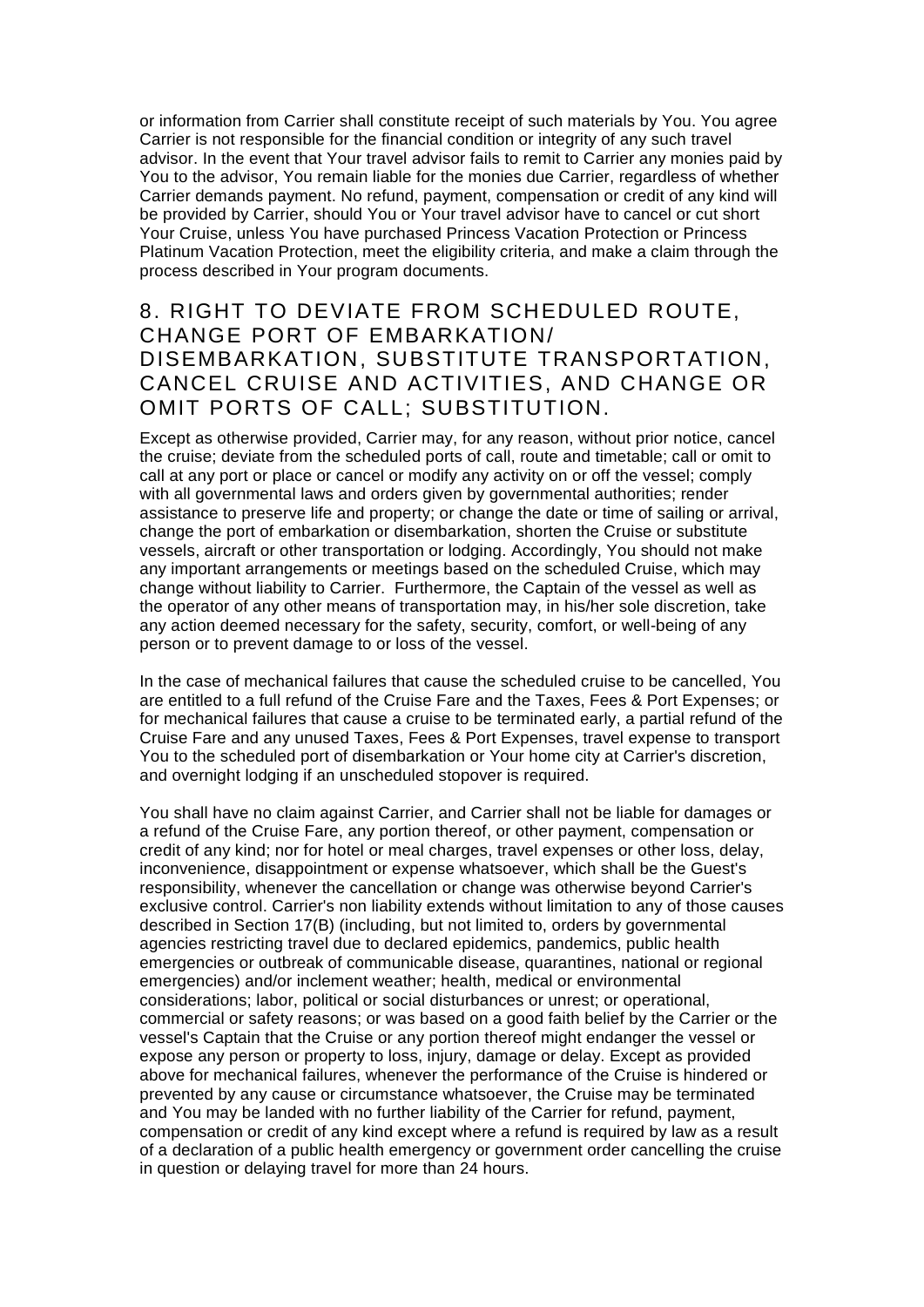or information from Carrier shall constitute receipt of such materials by You. You agree Carrier is not responsible for the financial condition or integrity of any such travel advisor. In the event that Your travel advisor fails to remit to Carrier any monies paid by You to the advisor, You remain liable for the monies due Carrier, regardless of whether Carrier demands payment. No refund, payment, compensation or credit of any kind will be provided by Carrier, should You or Your travel advisor have to cancel or cut short Your Cruise, unless You have purchased Princess Vacation Protection or Princess Platinum Vacation Protection, meet the eligibility criteria, and make a claim through the process described in Your program documents.

#### 8. RIGHT TO DEVIATE FROM SCHEDULED ROUTE, CHANGE PORT OF EMBARKATION/ DISEMBARKATION, SUBSTITUTE TRANSPORTATION, CANCEL CRUISE AND ACTIVITIES, AND CHANGE OR OMIT PORTS OF CALL; SUBSTITUTION.

Except as otherwise provided, Carrier may, for any reason, without prior notice, cancel the cruise; deviate from the scheduled ports of call, route and timetable; call or omit to call at any port or place or cancel or modify any activity on or off the vessel; comply with all governmental laws and orders given by governmental authorities; render assistance to preserve life and property; or change the date or time of sailing or arrival, change the port of embarkation or disembarkation, shorten the Cruise or substitute vessels, aircraft or other transportation or lodging. Accordingly, You should not make any important arrangements or meetings based on the scheduled Cruise, which may change without liability to Carrier. Furthermore, the Captain of the vessel as well as the operator of any other means of transportation may, in his/her sole discretion, take any action deemed necessary for the safety, security, comfort, or well-being of any person or to prevent damage to or loss of the vessel.

In the case of mechanical failures that cause the scheduled cruise to be cancelled, You are entitled to a full refund of the Cruise Fare and the Taxes, Fees & Port Expenses; or for mechanical failures that cause a cruise to be terminated early, a partial refund of the Cruise Fare and any unused Taxes, Fees & Port Expenses, travel expense to transport You to the scheduled port of disembarkation or Your home city at Carrier's discretion, and overnight lodging if an unscheduled stopover is required.

You shall have no claim against Carrier, and Carrier shall not be liable for damages or a refund of the Cruise Fare, any portion thereof, or other payment, compensation or credit of any kind; nor for hotel or meal charges, travel expenses or other loss, delay, inconvenience, disappointment or expense whatsoever, which shall be the Guest's responsibility, whenever the cancellation or change was otherwise beyond Carrier's exclusive control. Carrier's non liability extends without limitation to any of those causes described in Section 17(B) (including, but not limited to, orders by governmental agencies restricting travel due to declared epidemics, pandemics, public health emergencies or outbreak of communicable disease, quarantines, national or regional emergencies) and/or inclement weather; health, medical or environmental considerations; labor, political or social disturbances or unrest; or operational, commercial or safety reasons; or was based on a good faith belief by the Carrier or the vessel's Captain that the Cruise or any portion thereof might endanger the vessel or expose any person or property to loss, injury, damage or delay. Except as provided above for mechanical failures, whenever the performance of the Cruise is hindered or prevented by any cause or circumstance whatsoever, the Cruise may be terminated and You may be landed with no further liability of the Carrier for refund, payment, compensation or credit of any kind except where a refund is required by law as a result of a declaration of a public health emergency or government order cancelling the cruise in question or delaying travel for more than 24 hours.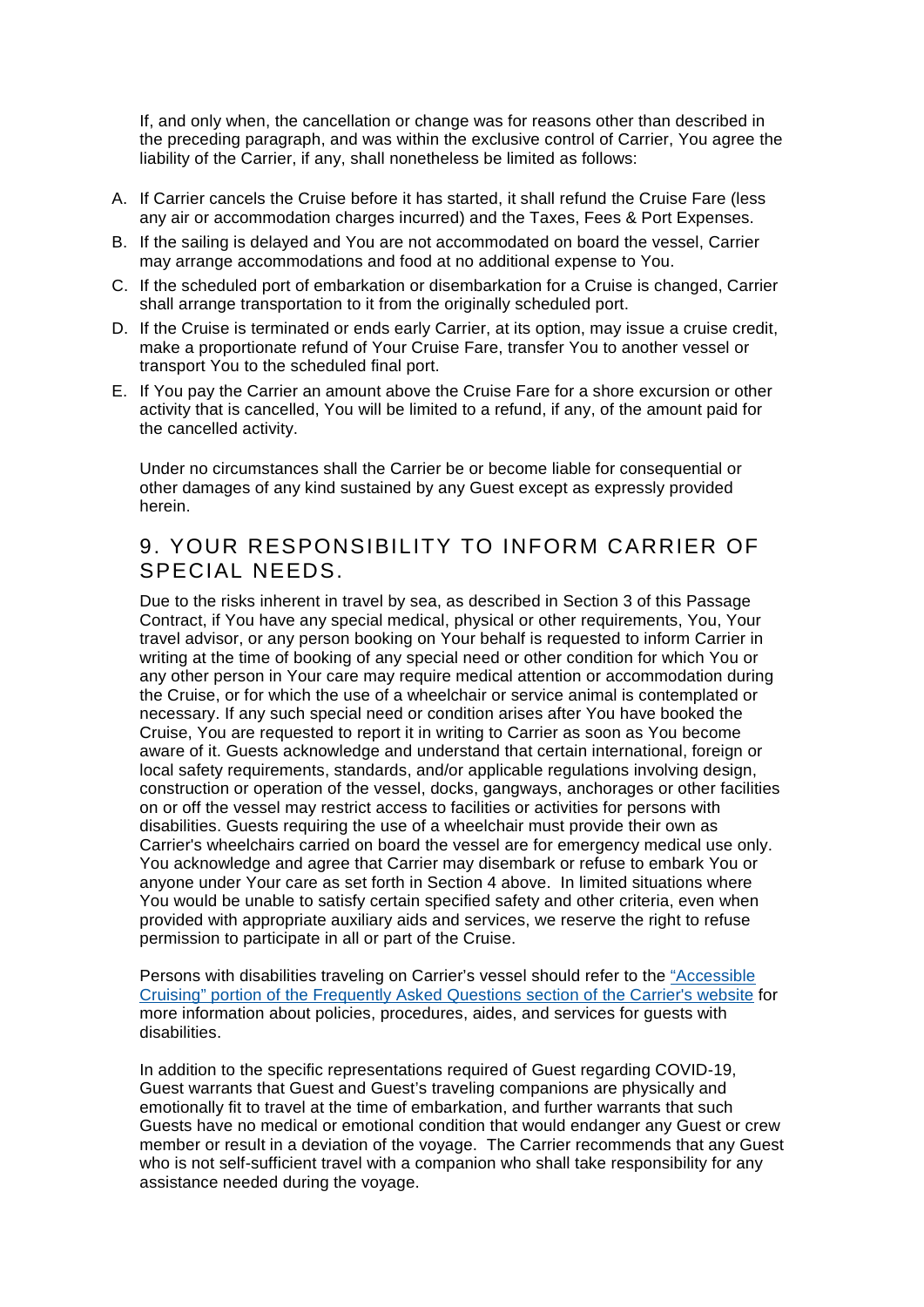If, and only when, the cancellation or change was for reasons other than described in the preceding paragraph, and was within the exclusive control of Carrier, You agree the liability of the Carrier, if any, shall nonetheless be limited as follows:

- A. If Carrier cancels the Cruise before it has started, it shall refund the Cruise Fare (less any air or accommodation charges incurred) and the Taxes, Fees & Port Expenses.
- B. If the sailing is delayed and You are not accommodated on board the vessel, Carrier may arrange accommodations and food at no additional expense to You.
- C. If the scheduled port of embarkation or disembarkation for a Cruise is changed, Carrier shall arrange transportation to it from the originally scheduled port.
- D. If the Cruise is terminated or ends early Carrier, at its option, may issue a cruise credit, make a proportionate refund of Your Cruise Fare, transfer You to another vessel or transport You to the scheduled final port.
- E. If You pay the Carrier an amount above the Cruise Fare for a shore excursion or other activity that is cancelled, You will be limited to a refund, if any, of the amount paid for the cancelled activity.

Under no circumstances shall the Carrier be or become liable for consequential or other damages of any kind sustained by any Guest except as expressly provided herein.

#### 9. YOUR RESPONSIBILITY TO INFORM CARRIER OF SPECIAL NEEDS.

Due to the risks inherent in travel by sea, as described in Section 3 of this Passage Contract, if You have any special medical, physical or other requirements, You, Your travel advisor, or any person booking on Your behalf is requested to inform Carrier in writing at the time of booking of any special need or other condition for which You or any other person in Your care may require medical attention or accommodation during the Cruise, or for which the use of a wheelchair or service animal is contemplated or necessary. If any such special need or condition arises after You have booked the Cruise, You are requested to report it in writing to Carrier as soon as You become aware of it. Guests acknowledge and understand that certain international, foreign or local safety requirements, standards, and/or applicable regulations involving design, construction or operation of the vessel, docks, gangways, anchorages or other facilities on or off the vessel may restrict access to facilities or activities for persons with disabilities. Guests requiring the use of a wheelchair must provide their own as Carrier's wheelchairs carried on board the vessel are for emergency medical use only. You acknowledge and agree that Carrier may disembark or refuse to embark You or anyone under Your care as set forth in Section 4 above. In limited situations where You would be unable to satisfy certain specified safety and other criteria, even when provided with appropriate auxiliary aids and services, we reserve the right to refuse permission to participate in all or part of the Cruise.

Persons with disabilities traveling on Carrier's vessel should refer to the ["Accessible](https://www.princess.com/learn/faq_answer/pre_cruise/prepare.jsp)  [Cruising" portion of the Frequently Asked Questions section of the Carrier's website](https://www.princess.com/learn/faq_answer/pre_cruise/prepare.jsp) for more information about policies, procedures, aides, and services for guests with disabilities.

In addition to the specific representations required of Guest regarding COVID-19, Guest warrants that Guest and Guest's traveling companions are physically and emotionally fit to travel at the time of embarkation, and further warrants that such Guests have no medical or emotional condition that would endanger any Guest or crew member or result in a deviation of the voyage. The Carrier recommends that any Guest who is not self-sufficient travel with a companion who shall take responsibility for any assistance needed during the voyage.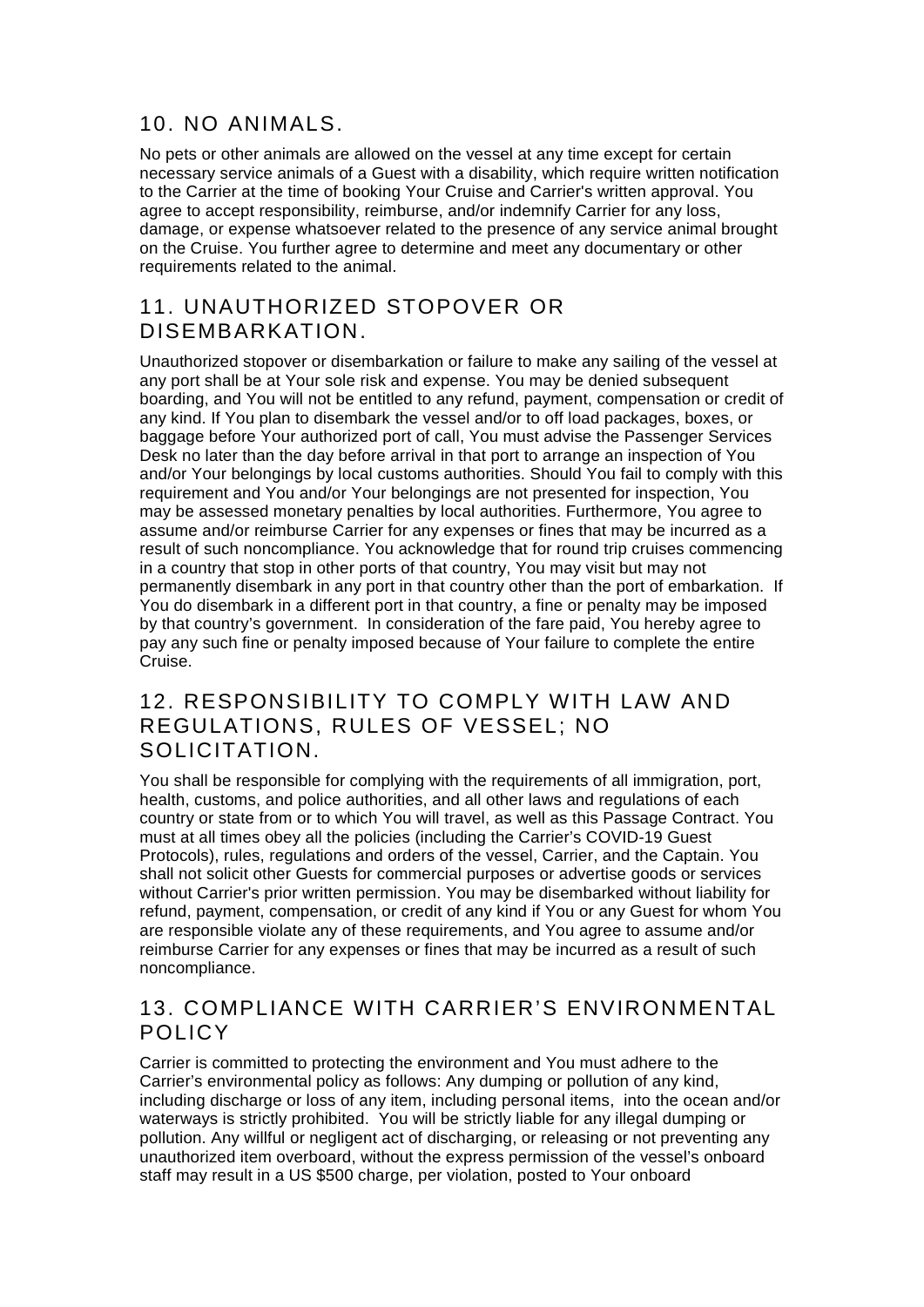## 10. NO ANIMALS.

No pets or other animals are allowed on the vessel at any time except for certain necessary service animals of a Guest with a disability, which require written notification to the Carrier at the time of booking Your Cruise and Carrier's written approval. You agree to accept responsibility, reimburse, and/or indemnify Carrier for any loss, damage, or expense whatsoever related to the presence of any service animal brought on the Cruise. You further agree to determine and meet any documentary or other requirements related to the animal.

# 11. UNAUTHORIZED STOPOVER OR DISEMBARKATION.

Unauthorized stopover or disembarkation or failure to make any sailing of the vessel at any port shall be at Your sole risk and expense. You may be denied subsequent boarding, and You will not be entitled to any refund, payment, compensation or credit of any kind. If You plan to disembark the vessel and/or to off load packages, boxes, or baggage before Your authorized port of call, You must advise the Passenger Services Desk no later than the day before arrival in that port to arrange an inspection of You and/or Your belongings by local customs authorities. Should You fail to comply with this requirement and You and/or Your belongings are not presented for inspection, You may be assessed monetary penalties by local authorities. Furthermore, You agree to assume and/or reimburse Carrier for any expenses or fines that may be incurred as a result of such noncompliance. You acknowledge that for round trip cruises commencing in a country that stop in other ports of that country, You may visit but may not permanently disembark in any port in that country other than the port of embarkation. If You do disembark in a different port in that country, a fine or penalty may be imposed by that country's government. In consideration of the fare paid, You hereby agree to pay any such fine or penalty imposed because of Your failure to complete the entire Cruise.

## 12. RESPONSIBILITY TO COMPLY WITH LAW AND REGULATIONS, RULES OF VESSEL; NO SOLICITATION.

You shall be responsible for complying with the requirements of all immigration, port, health, customs, and police authorities, and all other laws and regulations of each country or state from or to which You will travel, as well as this Passage Contract. You must at all times obey all the policies (including the Carrier's COVID-19 Guest Protocols), rules, regulations and orders of the vessel, Carrier, and the Captain. You shall not solicit other Guests for commercial purposes or advertise goods or services without Carrier's prior written permission. You may be disembarked without liability for refund, payment, compensation, or credit of any kind if You or any Guest for whom You are responsible violate any of these requirements, and You agree to assume and/or reimburse Carrier for any expenses or fines that may be incurred as a result of such noncompliance.

#### 13. COMPLIANCE WITH CARRIER'S ENVIRONMENTAL POLICY

Carrier is committed to protecting the environment and You must adhere to the Carrier's environmental policy as follows: Any dumping or pollution of any kind, including discharge or loss of any item, including personal items, into the ocean and/or waterways is strictly prohibited. You will be strictly liable for any illegal dumping or pollution. Any willful or negligent act of discharging, or releasing or not preventing any unauthorized item overboard, without the express permission of the vessel's onboard staff may result in a US \$500 charge, per violation, posted to Your onboard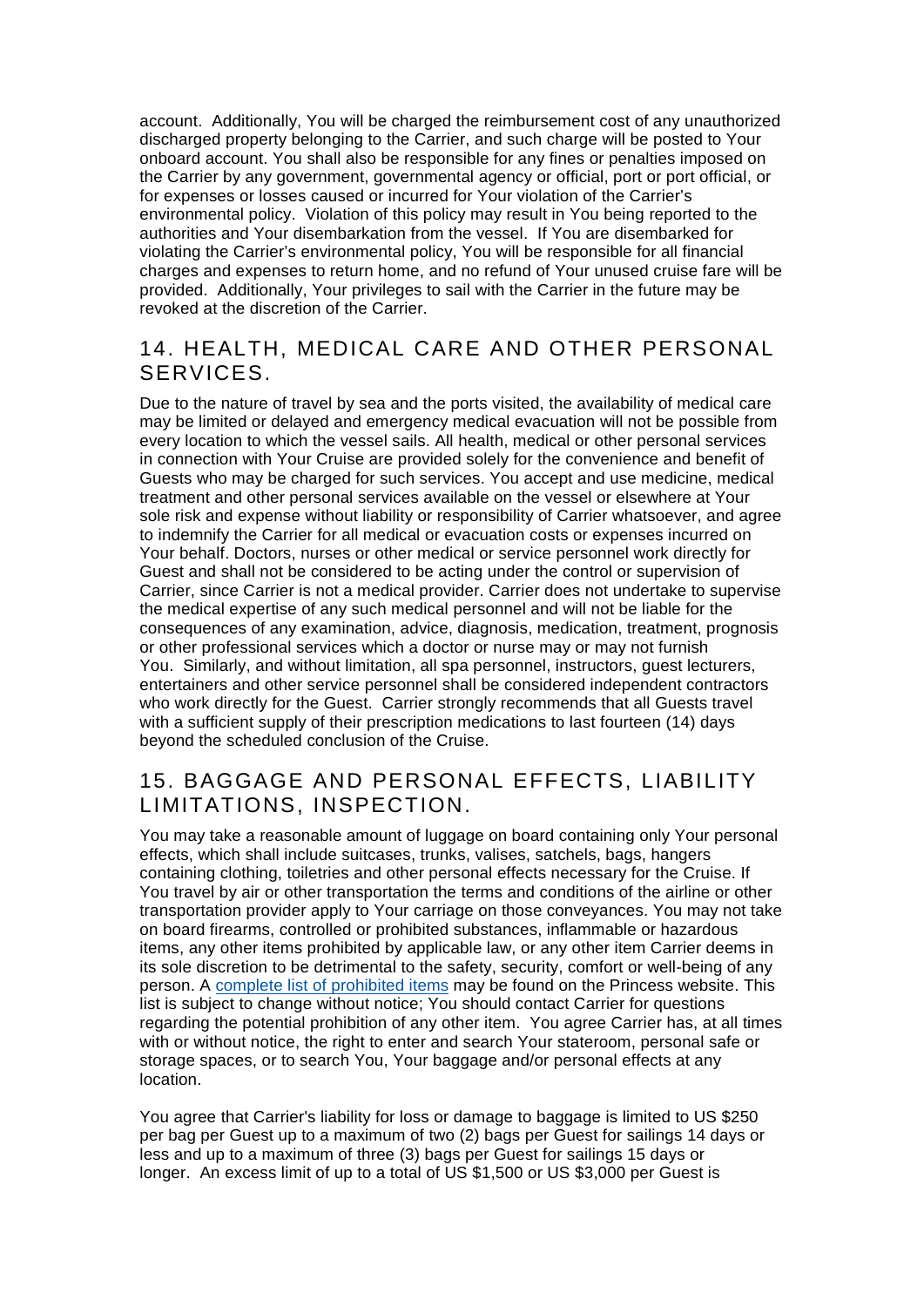account. Additionally, You will be charged the reimbursement cost of any unauthorized discharged property belonging to the Carrier, and such charge will be posted to Your onboard account. You shall also be responsible for any fines or penalties imposed on the Carrier by any government, governmental agency or official, port or port official, or for expenses or losses caused or incurred for Your violation of the Carrier's environmental policy. Violation of this policy may result in You being reported to the authorities and Your disembarkation from the vessel. If You are disembarked for violating the Carrier's environmental policy, You will be responsible for all financial charges and expenses to return home, and no refund of Your unused cruise fare will be provided. Additionally, Your privileges to sail with the Carrier in the future may be revoked at the discretion of the Carrier.

#### 14. HEALTH, MEDICAL CARE AND OTHER PERSONAL SERVICES.

Due to the nature of travel by sea and the ports visited, the availability of medical care may be limited or delayed and emergency medical evacuation will not be possible from every location to which the vessel sails. All health, medical or other personal services in connection with Your Cruise are provided solely for the convenience and benefit of Guests who may be charged for such services. You accept and use medicine, medical treatment and other personal services available on the vessel or elsewhere at Your sole risk and expense without liability or responsibility of Carrier whatsoever, and agree to indemnify the Carrier for all medical or evacuation costs or expenses incurred on Your behalf. Doctors, nurses or other medical or service personnel work directly for Guest and shall not be considered to be acting under the control or supervision of Carrier, since Carrier is not a medical provider. Carrier does not undertake to supervise the medical expertise of any such medical personnel and will not be liable for the consequences of any examination, advice, diagnosis, medication, treatment, prognosis or other professional services which a doctor or nurse may or may not furnish You. Similarly, and without limitation, all spa personnel, instructors, guest lecturers, entertainers and other service personnel shall be considered independent contractors who work directly for the Guest. Carrier strongly recommends that all Guests travel with a sufficient supply of their prescription medications to last fourteen (14) days beyond the scheduled conclusion of the Cruise.

#### 15. BAGGAGE AND PERSONAL EFFECTS, LIABILITY LIMITATIONS, INSPECTION.

You may take a reasonable amount of luggage on board containing only Your personal effects, which shall include suitcases, trunks, valises, satchels, bags, hangers containing clothing, toiletries and other personal effects necessary for the Cruise. If You travel by air or other transportation the terms and conditions of the airline or other transportation provider apply to Your carriage on those conveyances. You may not take on board firearms, controlled or prohibited substances, inflammable or hazardous items, any other items prohibited by applicable law, or any other item Carrier deems in its sole discretion to be detrimental to the safety, security, comfort or well-being of any person. A [complete list of prohibited items](https://www.princess.com/learn/faq_answer/pre_cruise/prepare.jsp) may be found on the Princess website. This list is subject to change without notice; You should contact Carrier for questions regarding the potential prohibition of any other item. You agree Carrier has, at all times with or without notice, the right to enter and search Your stateroom, personal safe or storage spaces, or to search You, Your baggage and/or personal effects at any location.

You agree that Carrier's liability for loss or damage to baggage is limited to US \$250 per bag per Guest up to a maximum of two (2) bags per Guest for sailings 14 days or less and up to a maximum of three (3) bags per Guest for sailings 15 days or longer. An excess limit of up to a total of US \$1,500 or US \$3,000 per Guest is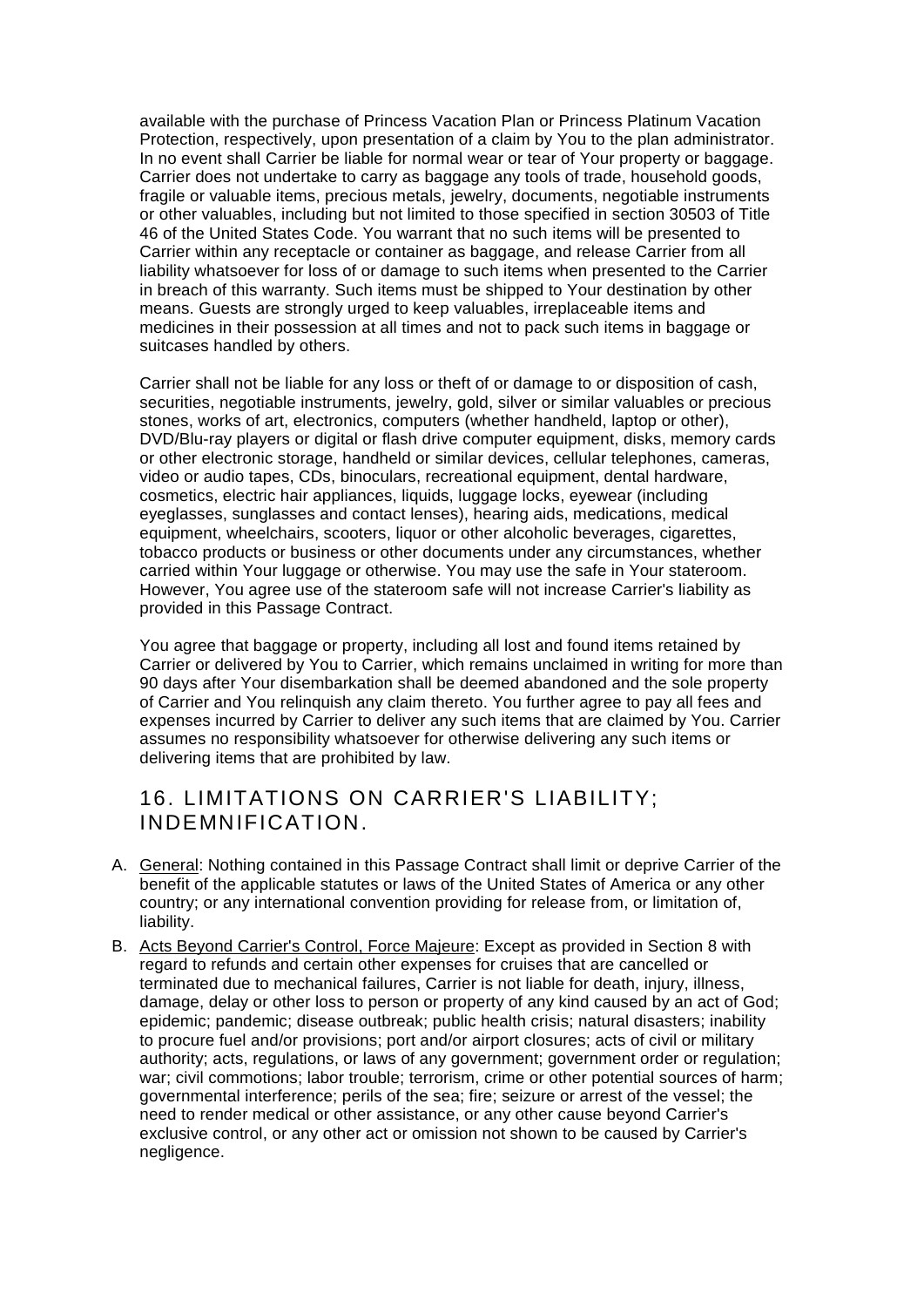available with the purchase of Princess Vacation Plan or Princess Platinum Vacation Protection, respectively, upon presentation of a claim by You to the plan administrator. In no event shall Carrier be liable for normal wear or tear of Your property or baggage. Carrier does not undertake to carry as baggage any tools of trade, household goods, fragile or valuable items, precious metals, jewelry, documents, negotiable instruments or other valuables, including but not limited to those specified in section 30503 of Title 46 of the United States Code. You warrant that no such items will be presented to Carrier within any receptacle or container as baggage, and release Carrier from all liability whatsoever for loss of or damage to such items when presented to the Carrier in breach of this warranty. Such items must be shipped to Your destination by other means. Guests are strongly urged to keep valuables, irreplaceable items and medicines in their possession at all times and not to pack such items in baggage or suitcases handled by others.

Carrier shall not be liable for any loss or theft of or damage to or disposition of cash, securities, negotiable instruments, jewelry, gold, silver or similar valuables or precious stones, works of art, electronics, computers (whether handheld, laptop or other), DVD/Blu-ray players or digital or flash drive computer equipment, disks, memory cards or other electronic storage, handheld or similar devices, cellular telephones, cameras, video or audio tapes, CDs, binoculars, recreational equipment, dental hardware, cosmetics, electric hair appliances, liquids, luggage locks, eyewear (including eyeglasses, sunglasses and contact lenses), hearing aids, medications, medical equipment, wheelchairs, scooters, liquor or other alcoholic beverages, cigarettes, tobacco products or business or other documents under any circumstances, whether carried within Your luggage or otherwise. You may use the safe in Your stateroom. However, You agree use of the stateroom safe will not increase Carrier's liability as provided in this Passage Contract.

You agree that baggage or property, including all lost and found items retained by Carrier or delivered by You to Carrier, which remains unclaimed in writing for more than 90 days after Your disembarkation shall be deemed abandoned and the sole property of Carrier and You relinquish any claim thereto. You further agree to pay all fees and expenses incurred by Carrier to deliver any such items that are claimed by You. Carrier assumes no responsibility whatsoever for otherwise delivering any such items or delivering items that are prohibited by law.

#### 16. LIMITATIONS ON CARRIER'S LIABILITY; INDEMNIFICATION.

- A. General: Nothing contained in this Passage Contract shall limit or deprive Carrier of the benefit of the applicable statutes or laws of the United States of America or any other country; or any international convention providing for release from, or limitation of, liability.
- B. Acts Beyond Carrier's Control, Force Majeure: Except as provided in Section 8 with regard to refunds and certain other expenses for cruises that are cancelled or terminated due to mechanical failures, Carrier is not liable for death, injury, illness, damage, delay or other loss to person or property of any kind caused by an act of God; epidemic; pandemic; disease outbreak; public health crisis; natural disasters; inability to procure fuel and/or provisions; port and/or airport closures; acts of civil or military authority; acts, regulations, or laws of any government; government order or regulation; war; civil commotions; labor trouble; terrorism, crime or other potential sources of harm; governmental interference; perils of the sea; fire; seizure or arrest of the vessel; the need to render medical or other assistance, or any other cause beyond Carrier's exclusive control, or any other act or omission not shown to be caused by Carrier's negligence.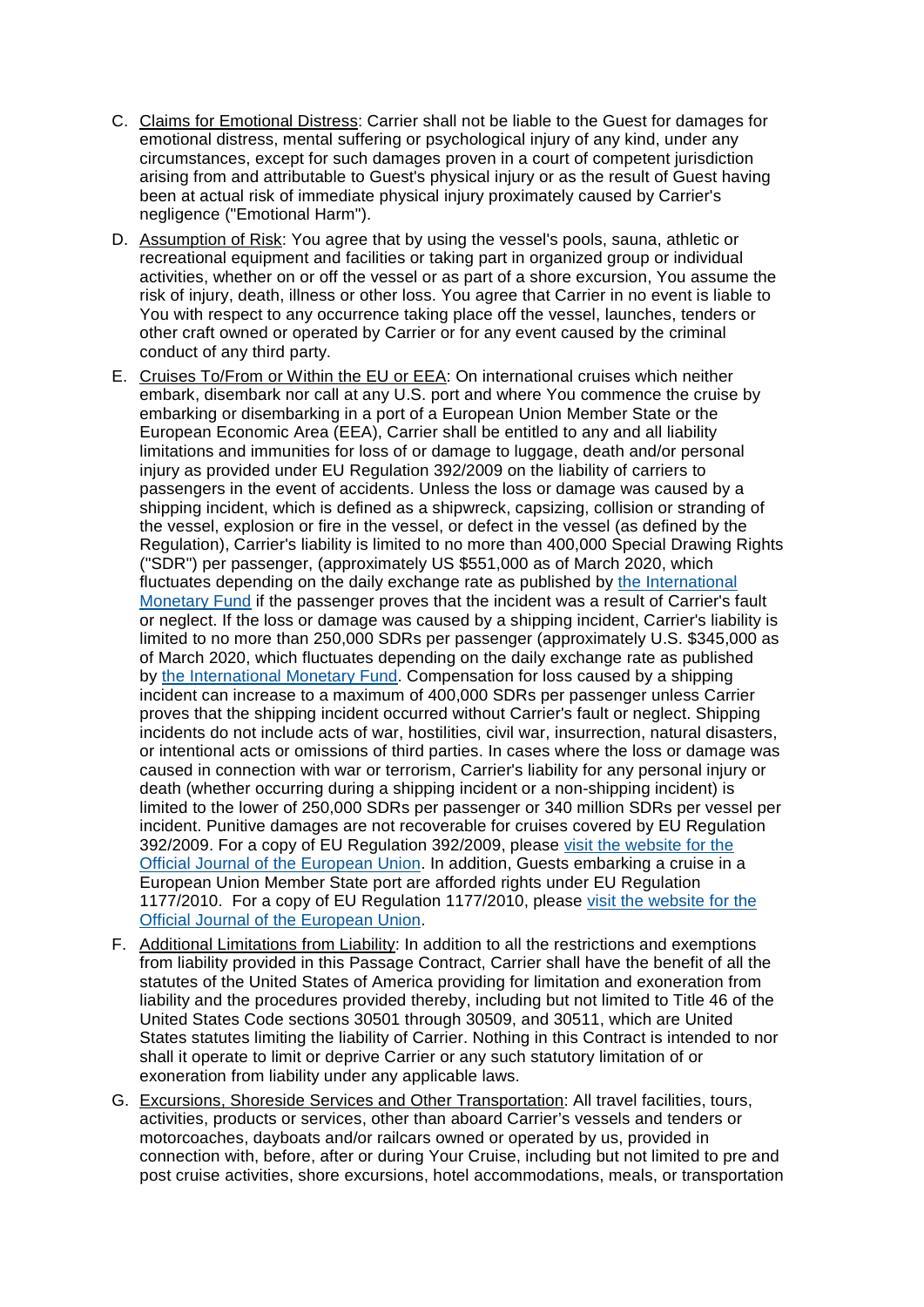- C. Claims for Emotional Distress: Carrier shall not be liable to the Guest for damages for emotional distress, mental suffering or psychological injury of any kind, under any circumstances, except for such damages proven in a court of competent jurisdiction arising from and attributable to Guest's physical injury or as the result of Guest having been at actual risk of immediate physical injury proximately caused by Carrier's negligence ("Emotional Harm").
- D. Assumption of Risk: You agree that by using the vessel's pools, sauna, athletic or recreational equipment and facilities or taking part in organized group or individual activities, whether on or off the vessel or as part of a shore excursion, You assume the risk of injury, death, illness or other loss. You agree that Carrier in no event is liable to You with respect to any occurrence taking place off the vessel, launches, tenders or other craft owned or operated by Carrier or for any event caused by the criminal conduct of any third party.
- E. Cruises To/From or Within the EU or EEA: On international cruises which neither embark, disembark nor call at any U.S. port and where You commence the cruise by embarking or disembarking in a port of a European Union Member State or the European Economic Area (EEA), Carrier shall be entitled to any and all liability limitations and immunities for loss of or damage to luggage, death and/or personal injury as provided under EU Regulation 392/2009 on the liability of carriers to passengers in the event of accidents. Unless the loss or damage was caused by a shipping incident, which is defined as a shipwreck, capsizing, collision or stranding of the vessel, explosion or fire in the vessel, or defect in the vessel (as defined by the Regulation), Carrier's liability is limited to no more than 400,000 Special Drawing Rights ("SDR") per passenger, (approximately US \$551,000 as of March 2020, which fluctuates depending on the daily exchange rate as published by the International [Monetary Fund](http://www.imf.org/external/np/fin/data/rms_sdrv.aspx) if the passenger proves that the incident was a result of Carrier's fault or neglect. If the loss or damage was caused by a shipping incident, Carrier's liability is limited to no more than 250,000 SDRs per passenger (approximately U.S. \$345,000 as of March 2020, which fluctuates depending on the daily exchange rate as published by [the International Monetary Fund.](http://www.imf.org/external/np/fin/data/rms_sdrv.aspx) Compensation for loss caused by a shipping incident can increase to a maximum of 400,000 SDRs per passenger unless Carrier proves that the shipping incident occurred without Carrier's fault or neglect. Shipping incidents do not include acts of war, hostilities, civil war, insurrection, natural disasters, or intentional acts or omissions of third parties. In cases where the loss or damage was caused in connection with war or terrorism, Carrier's liability for any personal injury or death (whether occurring during a shipping incident or a non-shipping incident) is limited to the lower of 250,000 SDRs per passenger or 340 million SDRs per vessel per incident. Punitive damages are not recoverable for cruises covered by EU Regulation 392/2009. For a copy of EU Regulation 392/2009, please [visit the website for the](http://eur-lex.europa.eu/LexUriServ/LexUriServ.do?uri=OJ:L:2009:131:0024:0046:EN:PDF)  [Official Journal of the European Union.](http://eur-lex.europa.eu/LexUriServ/LexUriServ.do?uri=OJ:L:2009:131:0024:0046:EN:PDF) In addition, Guests embarking a cruise in a European Union Member State port are afforded rights under EU Regulation 1177/2010. For a copy of EU Regulation 1177/2010, please [visit the website for the](http://eur-lex.europa.eu/legal-content/EN/TXT/HTML/?uri=CELEX:32010R1177&qid=1440630405095&from=EN)  [Official Journal of the European Union.](http://eur-lex.europa.eu/legal-content/EN/TXT/HTML/?uri=CELEX:32010R1177&qid=1440630405095&from=EN)
- F. Additional Limitations from Liability: In addition to all the restrictions and exemptions from liability provided in this Passage Contract, Carrier shall have the benefit of all the statutes of the United States of America providing for limitation and exoneration from liability and the procedures provided thereby, including but not limited to Title 46 of the United States Code sections 30501 through 30509, and 30511, which are United States statutes limiting the liability of Carrier. Nothing in this Contract is intended to nor shall it operate to limit or deprive Carrier or any such statutory limitation of or exoneration from liability under any applicable laws.
- G. Excursions, Shoreside Services and Other Transportation: All travel facilities, tours, activities, products or services, other than aboard Carrier's vessels and tenders or motorcoaches, dayboats and/or railcars owned or operated by us, provided in connection with, before, after or during Your Cruise, including but not limited to pre and post cruise activities, shore excursions, hotel accommodations, meals, or transportation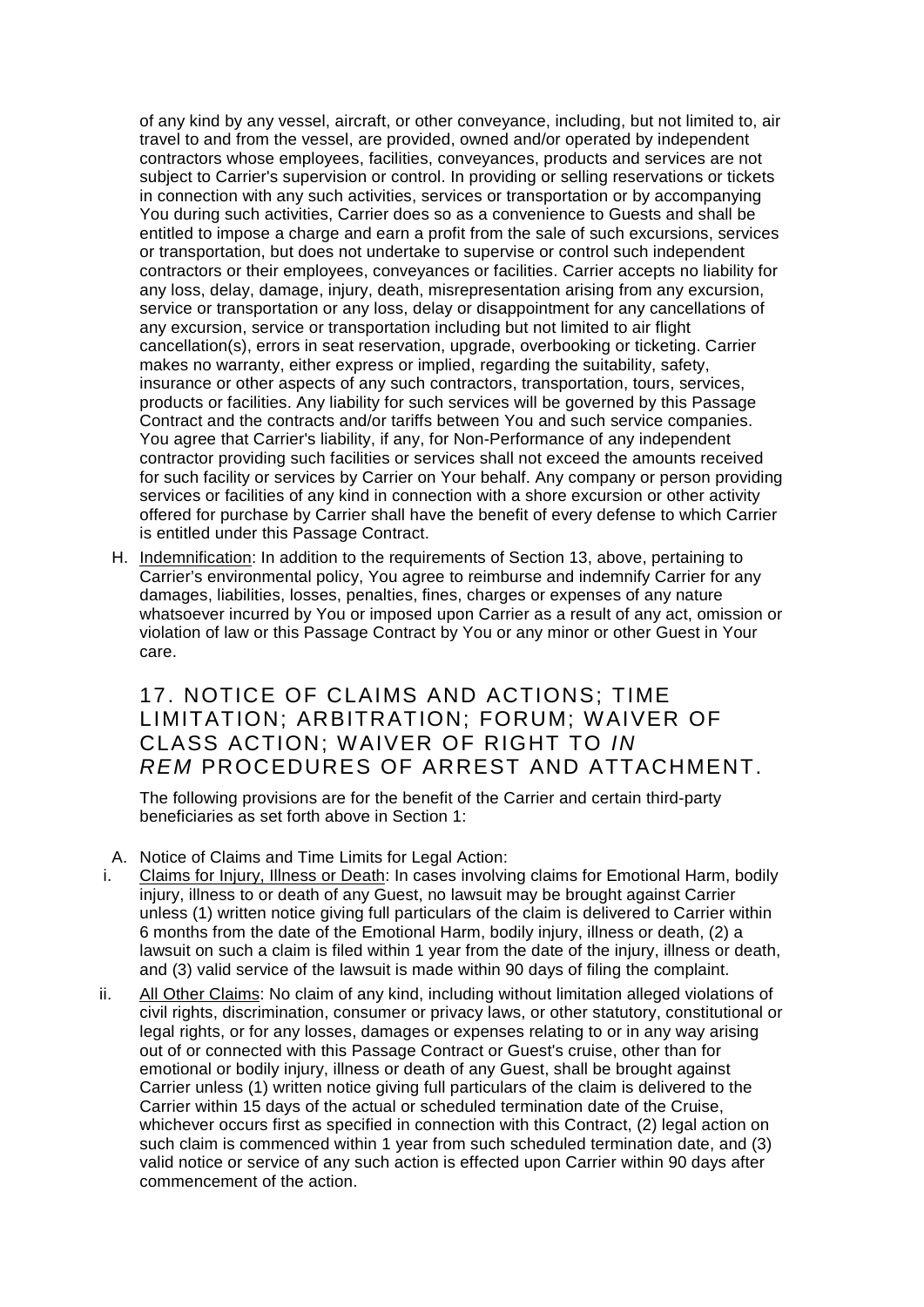of any kind by any vessel, aircraft, or other conveyance, including, but not limited to, air travel to and from the vessel, are provided, owned and/or operated by independent contractors whose employees, facilities, conveyances, products and services are not subject to Carrier's supervision or control. In providing or selling reservations or tickets in connection with any such activities, services or transportation or by accompanying You during such activities, Carrier does so as a convenience to Guests and shall be entitled to impose a charge and earn a profit from the sale of such excursions, services or transportation, but does not undertake to supervise or control such independent contractors or their employees, conveyances or facilities. Carrier accepts no liability for any loss, delay, damage, injury, death, misrepresentation arising from any excursion, service or transportation or any loss, delay or disappointment for any cancellations of any excursion, service or transportation including but not limited to air flight cancellation(s), errors in seat reservation, upgrade, overbooking or ticketing. Carrier makes no warranty, either express or implied, regarding the suitability, safety, insurance or other aspects of any such contractors, transportation, tours, services, products or facilities. Any liability for such services will be governed by this Passage Contract and the contracts and/or tariffs between You and such service companies. You agree that Carrier's liability, if any, for Non-Performance of any independent contractor providing such facilities or services shall not exceed the amounts received for such facility or services by Carrier on Your behalf. Any company or person providing services or facilities of any kind in connection with a shore excursion or other activity offered for purchase by Carrier shall have the benefit of every defense to which Carrier is entitled under this Passage Contract.

H. Indemnification: In addition to the requirements of Section 13, above, pertaining to Carrier's environmental policy, You agree to reimburse and indemnify Carrier for any damages, liabilities, losses, penalties, fines, charges or expenses of any nature whatsoever incurred by You or imposed upon Carrier as a result of any act, omission or violation of law or this Passage Contract by You or any minor or other Guest in Your care.

#### 17. NOTICE OF CLAIMS AND ACTIONS; TIME LIMITATION; ARBITRATION; FORUM; WAIVER OF CLASS ACTION; WAIVER OF RIGHT TO *IN REM* PROCEDURES OF ARREST AND ATTACHMENT.

The following provisions are for the benefit of the Carrier and certain third-party beneficiaries as set forth above in Section 1:

- A. Notice of Claims and Time Limits for Legal Action:
- i. Claims for Injury, Illness or Death: In cases involving claims for Emotional Harm, bodily injury, illness to or death of any Guest, no lawsuit may be brought against Carrier unless (1) written notice giving full particulars of the claim is delivered to Carrier within 6 months from the date of the Emotional Harm, bodily injury, illness or death, (2) a lawsuit on such a claim is filed within 1 year from the date of the injury, illness or death, and (3) valid service of the lawsuit is made within 90 days of filing the complaint.
- ii. All Other Claims: No claim of any kind, including without limitation alleged violations of civil rights, discrimination, consumer or privacy laws, or other statutory, constitutional or legal rights, or for any losses, damages or expenses relating to or in any way arising out of or connected with this Passage Contract or Guest's cruise, other than for emotional or bodily injury, illness or death of any Guest, shall be brought against Carrier unless (1) written notice giving full particulars of the claim is delivered to the Carrier within 15 days of the actual or scheduled termination date of the Cruise, whichever occurs first as specified in connection with this Contract, (2) legal action on such claim is commenced within 1 year from such scheduled termination date, and (3) valid notice or service of any such action is effected upon Carrier within 90 days after commencement of the action.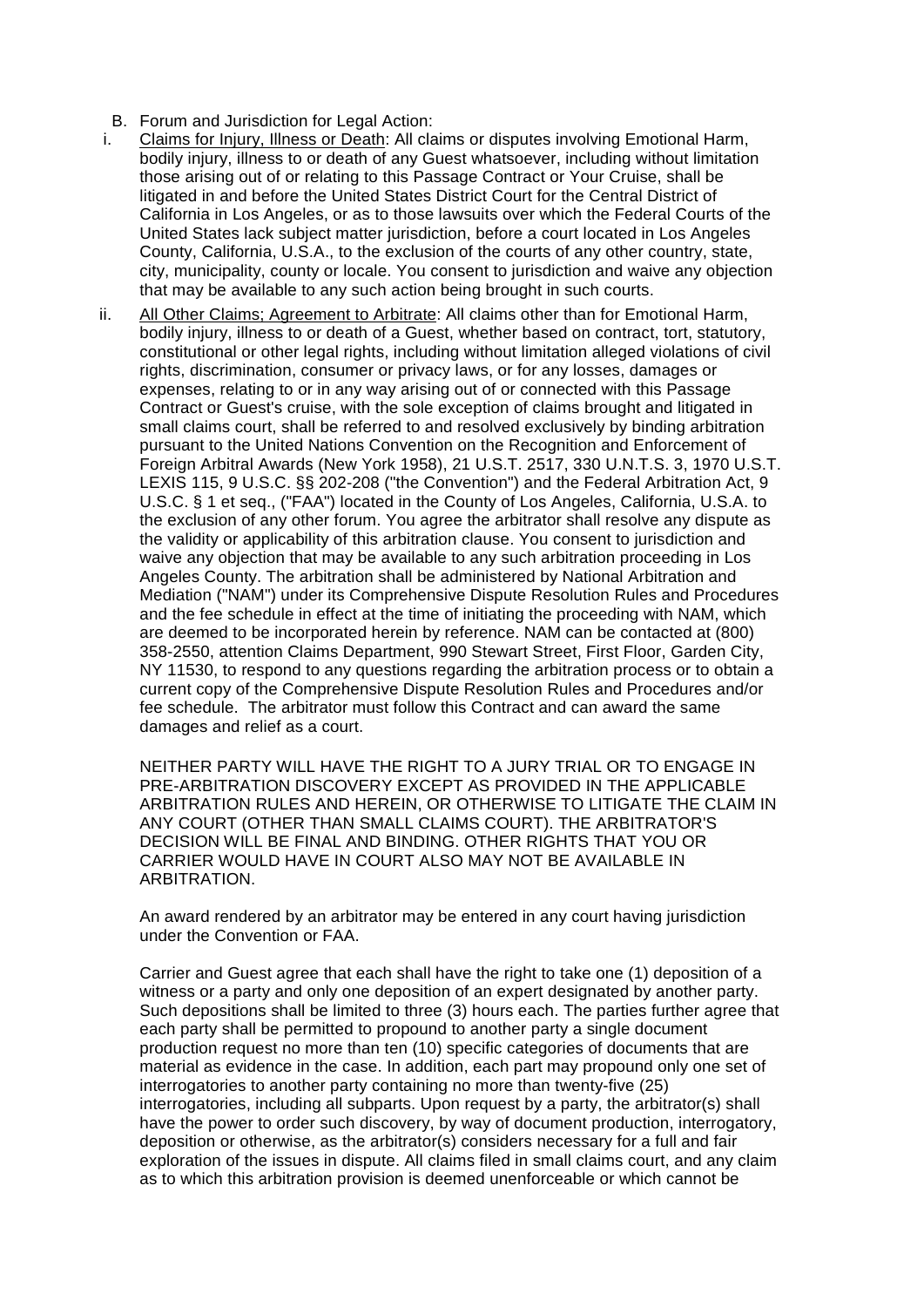- B. Forum and Jurisdiction for Legal Action:
- i. Claims for Injury, Illness or Death: All claims or disputes involving Emotional Harm, bodily injury, illness to or death of any Guest whatsoever, including without limitation those arising out of or relating to this Passage Contract or Your Cruise, shall be litigated in and before the United States District Court for the Central District of California in Los Angeles, or as to those lawsuits over which the Federal Courts of the United States lack subject matter jurisdiction, before a court located in Los Angeles County, California, U.S.A., to the exclusion of the courts of any other country, state, city, municipality, county or locale. You consent to jurisdiction and waive any objection that may be available to any such action being brought in such courts.
- ii. All Other Claims; Agreement to Arbitrate: All claims other than for Emotional Harm. bodily injury, illness to or death of a Guest, whether based on contract, tort, statutory, constitutional or other legal rights, including without limitation alleged violations of civil rights, discrimination, consumer or privacy laws, or for any losses, damages or expenses, relating to or in any way arising out of or connected with this Passage Contract or Guest's cruise, with the sole exception of claims brought and litigated in small claims court, shall be referred to and resolved exclusively by binding arbitration pursuant to the United Nations Convention on the Recognition and Enforcement of Foreign Arbitral Awards (New York 1958), 21 U.S.T. 2517, 330 U.N.T.S. 3, 1970 U.S.T. LEXIS 115, 9 U.S.C. §§ 202-208 ("the Convention") and the Federal Arbitration Act, 9 U.S.C. § 1 et seq., ("FAA") located in the County of Los Angeles, California, U.S.A. to the exclusion of any other forum. You agree the arbitrator shall resolve any dispute as the validity or applicability of this arbitration clause. You consent to jurisdiction and waive any objection that may be available to any such arbitration proceeding in Los Angeles County. The arbitration shall be administered by National Arbitration and Mediation ("NAM") under its Comprehensive Dispute Resolution Rules and Procedures and the fee schedule in effect at the time of initiating the proceeding with NAM, which are deemed to be incorporated herein by reference. NAM can be contacted at (800) 358-2550, attention Claims Department, 990 Stewart Street, First Floor, Garden City, NY 11530, to respond to any questions regarding the arbitration process or to obtain a current copy of the Comprehensive Dispute Resolution Rules and Procedures and/or fee schedule. The arbitrator must follow this Contract and can award the same damages and relief as a court.

NEITHER PARTY WILL HAVE THE RIGHT TO A JURY TRIAL OR TO ENGAGE IN PRE-ARBITRATION DISCOVERY EXCEPT AS PROVIDED IN THE APPLICABLE ARBITRATION RULES AND HEREIN, OR OTHERWISE TO LITIGATE THE CLAIM IN ANY COURT (OTHER THAN SMALL CLAIMS COURT). THE ARBITRATOR'S DECISION WILL BE FINAL AND BINDING. OTHER RIGHTS THAT YOU OR CARRIER WOULD HAVE IN COURT ALSO MAY NOT BE AVAILABLE IN ARBITRATION.

An award rendered by an arbitrator may be entered in any court having jurisdiction under the Convention or FAA.

Carrier and Guest agree that each shall have the right to take one (1) deposition of a witness or a party and only one deposition of an expert designated by another party. Such depositions shall be limited to three (3) hours each. The parties further agree that each party shall be permitted to propound to another party a single document production request no more than ten (10) specific categories of documents that are material as evidence in the case. In addition, each part may propound only one set of interrogatories to another party containing no more than twenty-five (25) interrogatories, including all subparts. Upon request by a party, the arbitrator(s) shall have the power to order such discovery, by way of document production, interrogatory, deposition or otherwise, as the arbitrator(s) considers necessary for a full and fair exploration of the issues in dispute. All claims filed in small claims court, and any claim as to which this arbitration provision is deemed unenforceable or which cannot be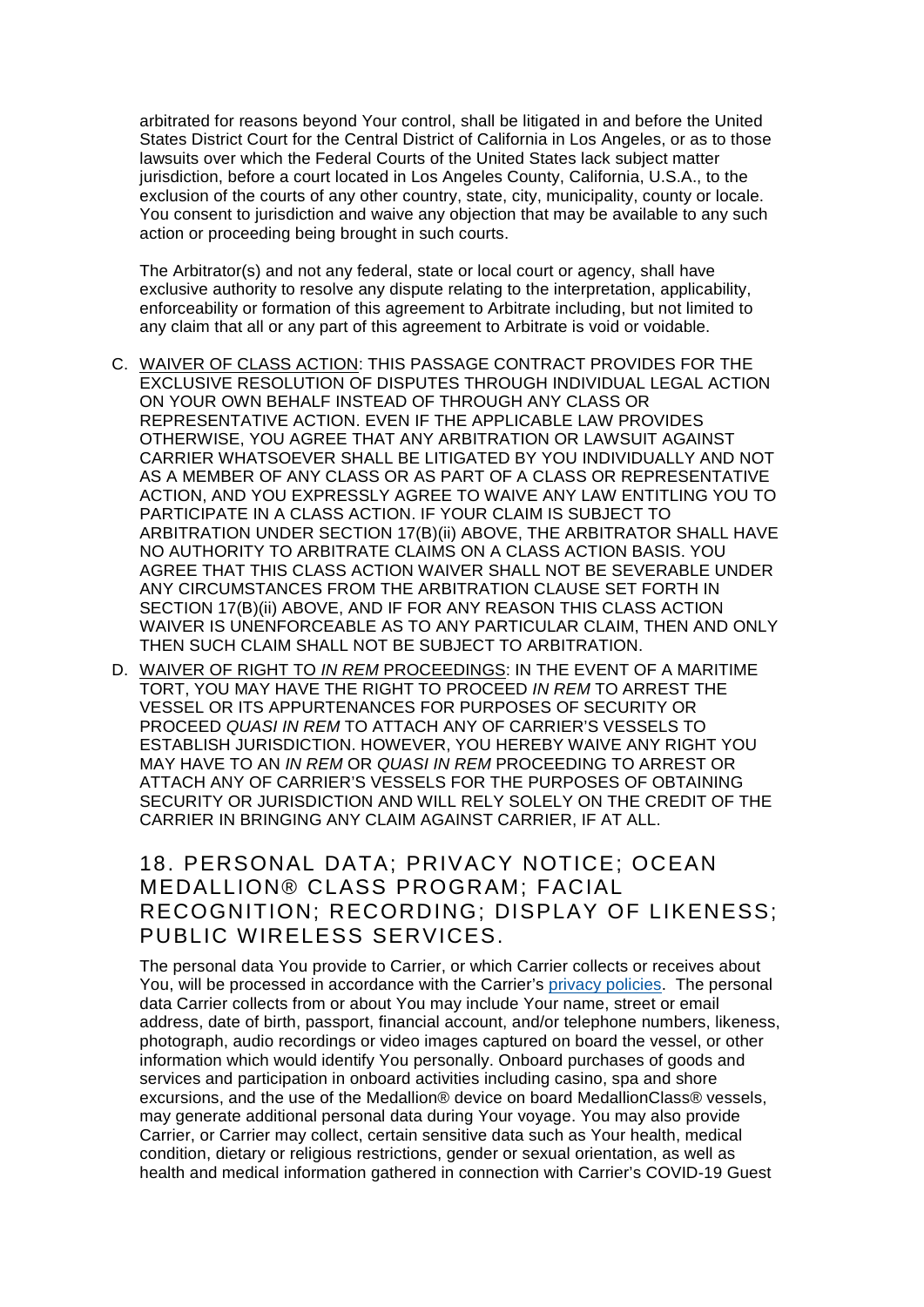arbitrated for reasons beyond Your control, shall be litigated in and before the United States District Court for the Central District of California in Los Angeles, or as to those lawsuits over which the Federal Courts of the United States lack subject matter jurisdiction, before a court located in Los Angeles County, California, U.S.A., to the exclusion of the courts of any other country, state, city, municipality, county or locale. You consent to jurisdiction and waive any objection that may be available to any such action or proceeding being brought in such courts.

The Arbitrator(s) and not any federal, state or local court or agency, shall have exclusive authority to resolve any dispute relating to the interpretation, applicability, enforceability or formation of this agreement to Arbitrate including, but not limited to any claim that all or any part of this agreement to Arbitrate is void or voidable.

- C. WAIVER OF CLASS ACTION: THIS PASSAGE CONTRACT PROVIDES FOR THE EXCLUSIVE RESOLUTION OF DISPUTES THROUGH INDIVIDUAL LEGAL ACTION ON YOUR OWN BEHALF INSTEAD OF THROUGH ANY CLASS OR REPRESENTATIVE ACTION. EVEN IF THE APPLICABLE LAW PROVIDES OTHERWISE, YOU AGREE THAT ANY ARBITRATION OR LAWSUIT AGAINST CARRIER WHATSOEVER SHALL BE LITIGATED BY YOU INDIVIDUALLY AND NOT AS A MEMBER OF ANY CLASS OR AS PART OF A CLASS OR REPRESENTATIVE ACTION, AND YOU EXPRESSLY AGREE TO WAIVE ANY LAW ENTITLING YOU TO PARTICIPATE IN A CLASS ACTION. IF YOUR CLAIM IS SUBJECT TO ARBITRATION UNDER SECTION 17(B)(ii) ABOVE, THE ARBITRATOR SHALL HAVE NO AUTHORITY TO ARBITRATE CLAIMS ON A CLASS ACTION BASIS. YOU AGREE THAT THIS CLASS ACTION WAIVER SHALL NOT BE SEVERABLE UNDER ANY CIRCUMSTANCES FROM THE ARBITRATION CLAUSE SET FORTH IN SECTION 17(B)(ii) ABOVE, AND IF FOR ANY REASON THIS CLASS ACTION WAIVER IS UNENFORCEABLE AS TO ANY PARTICULAR CLAIM, THEN AND ONLY THEN SUCH CLAIM SHALL NOT BE SUBJECT TO ARBITRATION.
- D. WAIVER OF RIGHT TO *IN REM* PROCEEDINGS: IN THE EVENT OF A MARITIME TORT, YOU MAY HAVE THE RIGHT TO PROCEED *IN REM* TO ARREST THE VESSEL OR ITS APPURTENANCES FOR PURPOSES OF SECURITY OR PROCEED *QUASI IN REM* TO ATTACH ANY OF CARRIER'S VESSELS TO ESTABLISH JURISDICTION. HOWEVER, YOU HEREBY WAIVE ANY RIGHT YOU MAY HAVE TO AN *IN REM* OR *QUASI IN REM* PROCEEDING TO ARREST OR ATTACH ANY OF CARRIER'S VESSELS FOR THE PURPOSES OF OBTAINING SECURITY OR JURISDICTION AND WILL RELY SOLELY ON THE CREDIT OF THE CARRIER IN BRINGING ANY CLAIM AGAINST CARRIER, IF AT ALL.

18. PERSONAL DATA; PRIVACY NOTICE; OCEAN MEDALLION® CLASS PROGRAM; FACIAL RECOGNITION; RECORDING; DISPLAY OF LIKENESS; PUBLIC WIRELESS SERVICES.

The personal data You provide to Carrier, or which Carrier collects or receives about You, will be processed in accordance with the Carrier's [privacy policies.](https://www.princess.com/legal/legal_privacy/) The personal data Carrier collects from or about You may include Your name, street or email address, date of birth, passport, financial account, and/or telephone numbers, likeness, photograph, audio recordings or video images captured on board the vessel, or other information which would identify You personally. Onboard purchases of goods and services and participation in onboard activities including casino, spa and shore excursions, and the use of the Medallion® device on board MedallionClass® vessels, may generate additional personal data during Your voyage. You may also provide Carrier, or Carrier may collect, certain sensitive data such as Your health, medical condition, dietary or religious restrictions, gender or sexual orientation, as well as health and medical information gathered in connection with Carrier's COVID-19 Guest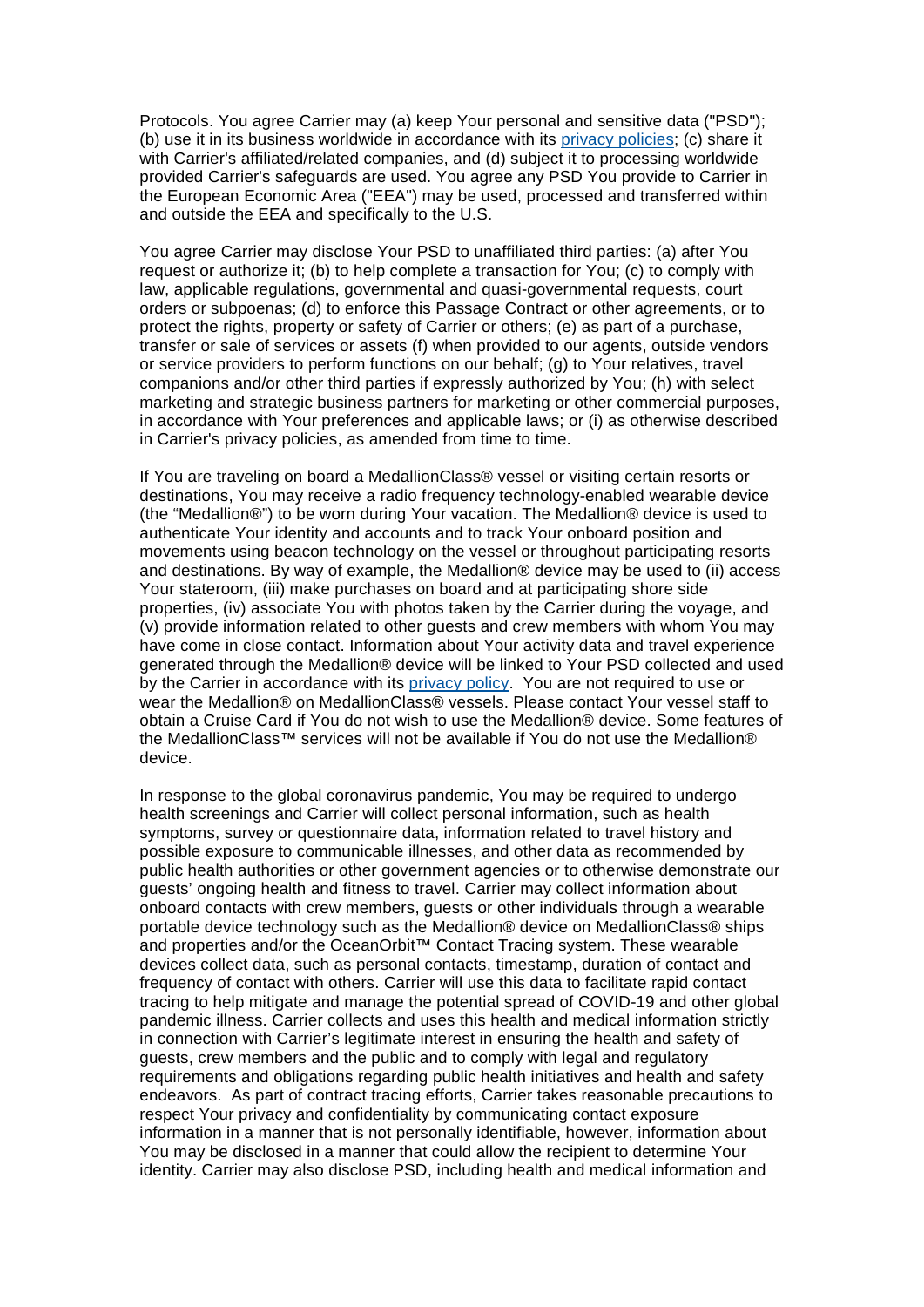Protocols. You agree Carrier may (a) keep Your personal and sensitive data ("PSD"); (b) use it in its business worldwide in accordance with its [privacy policies;](https://www.princess.com/legal/legal_privacy/) (c) share it with Carrier's affiliated/related companies, and (d) subject it to processing worldwide provided Carrier's safeguards are used. You agree any PSD You provide to Carrier in the European Economic Area ("EEA") may be used, processed and transferred within and outside the EEA and specifically to the U.S.

You agree Carrier may disclose Your PSD to unaffiliated third parties: (a) after You request or authorize it; (b) to help complete a transaction for You; (c) to comply with law, applicable regulations, governmental and quasi-governmental requests, court orders or subpoenas; (d) to enforce this Passage Contract or other agreements, or to protect the rights, property or safety of Carrier or others; (e) as part of a purchase, transfer or sale of services or assets (f) when provided to our agents, outside vendors or service providers to perform functions on our behalf; (g) to Your relatives, travel companions and/or other third parties if expressly authorized by You; (h) with select marketing and strategic business partners for marketing or other commercial purposes, in accordance with Your preferences and applicable laws; or (i) as otherwise described in Carrier's privacy policies, as amended from time to time.

If You are traveling on board a MedallionClass® vessel or visiting certain resorts or destinations, You may receive a radio frequency technology-enabled wearable device (the "Medallion®") to be worn during Your vacation. The Medallion® device is used to authenticate Your identity and accounts and to track Your onboard position and movements using beacon technology on the vessel or throughout participating resorts and destinations. By way of example, the Medallion® device may be used to (ii) access Your stateroom, (iii) make purchases on board and at participating shore side properties, (iv) associate You with photos taken by the Carrier during the voyage, and (v) provide information related to other guests and crew members with whom You may have come in close contact. Information about Your activity data and travel experience generated through the Medallion® device will be linked to Your PSD collected and used by the Carrier in accordance with its [privacy policy.](https://www.princess.com/legal/legal_privacy/) You are not required to use or wear the Medallion® on MedallionClass® vessels. Please contact Your vessel staff to obtain a Cruise Card if You do not wish to use the Medallion® device. Some features of the MedallionClass™ services will not be available if You do not use the Medallion® device.

In response to the global coronavirus pandemic, You may be required to undergo health screenings and Carrier will collect personal information, such as health symptoms, survey or questionnaire data, information related to travel history and possible exposure to communicable illnesses, and other data as recommended by public health authorities or other government agencies or to otherwise demonstrate our guests' ongoing health and fitness to travel. Carrier may collect information about onboard contacts with crew members, guests or other individuals through a wearable portable device technology such as the Medallion® device on MedallionClass® ships and properties and/or the OceanOrbit™ Contact Tracing system. These wearable devices collect data, such as personal contacts, timestamp, duration of contact and frequency of contact with others. Carrier will use this data to facilitate rapid contact tracing to help mitigate and manage the potential spread of COVID-19 and other global pandemic illness. Carrier collects and uses this health and medical information strictly in connection with Carrier's legitimate interest in ensuring the health and safety of guests, crew members and the public and to comply with legal and regulatory requirements and obligations regarding public health initiatives and health and safety endeavors. As part of contract tracing efforts, Carrier takes reasonable precautions to respect Your privacy and confidentiality by communicating contact exposure information in a manner that is not personally identifiable, however, information about You may be disclosed in a manner that could allow the recipient to determine Your identity. Carrier may also disclose PSD, including health and medical information and